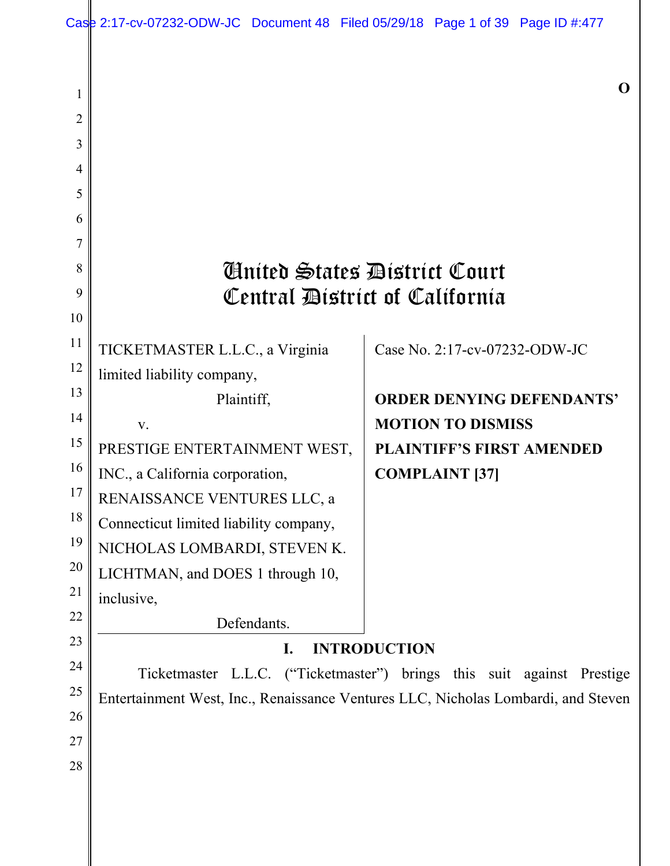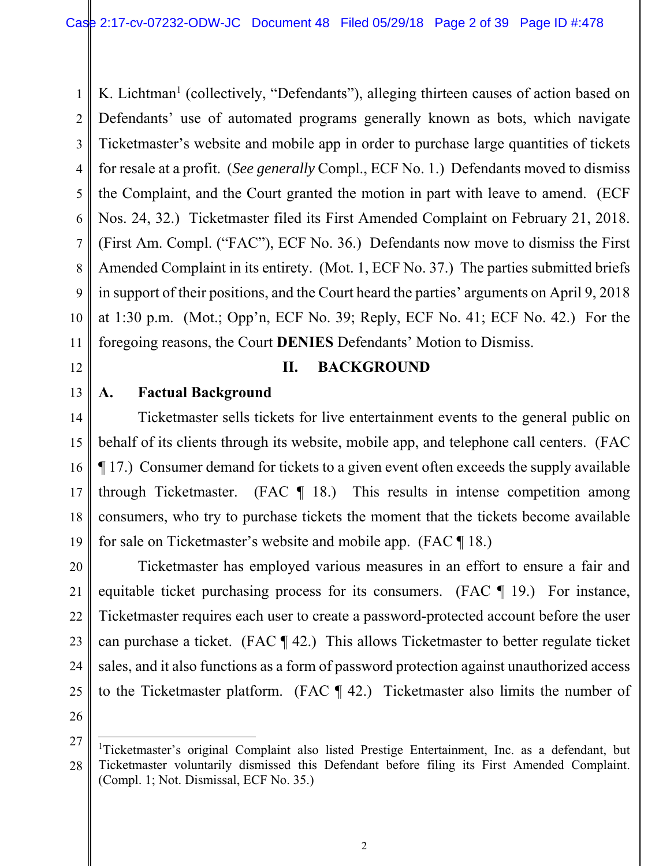1 2 3 4 5 6 7 8 9 10 11 K. Lichtman<sup>1</sup> (collectively, "Defendants"), alleging thirteen causes of action based on Defendants' use of automated programs generally known as bots, which navigate Ticketmaster's website and mobile app in order to purchase large quantities of tickets for resale at a profit. (*See generally* Compl., ECF No. 1.) Defendants moved to dismiss the Complaint, and the Court granted the motion in part with leave to amend. (ECF Nos. 24, 32.) Ticketmaster filed its First Amended Complaint on February 21, 2018. (First Am. Compl. ("FAC"), ECF No. 36.) Defendants now move to dismiss the First Amended Complaint in its entirety. (Mot. 1, ECF No. 37.) The parties submitted briefs in support of their positions, and the Court heard the parties' arguments on April 9, 2018 at 1:30 p.m. (Mot.; Opp'n, ECF No. 39; Reply, ECF No. 41; ECF No. 42.) For the foregoing reasons, the Court **DENIES** Defendants' Motion to Dismiss.

12 13

# **II. BACKGROUND**

## **A. Factual Background**

14 15 16 17 18 19 Ticketmaster sells tickets for live entertainment events to the general public on behalf of its clients through its website, mobile app, and telephone call centers. (FAC ¶ 17.) Consumer demand for tickets to a given event often exceeds the supply available through Ticketmaster. (FAC  $\parallel$  18.) This results in intense competition among consumers, who try to purchase tickets the moment that the tickets become available for sale on Ticketmaster's website and mobile app. (FAC ¶ 18.)

20 21 22 23 24 25 Ticketmaster has employed various measures in an effort to ensure a fair and equitable ticket purchasing process for its consumers. (FAC ¶ 19.) For instance, Ticketmaster requires each user to create a password-protected account before the user can purchase a ticket. (FAC ¶ 42.) This allows Ticketmaster to better regulate ticket sales, and it also functions as a form of password protection against unauthorized access to the Ticketmaster platform. (FAC ¶ 42.) Ticketmaster also limits the number of

26

 $\overline{a}$ 

<sup>27</sup> 28 <sup>1</sup>Ticketmaster's original Complaint also listed Prestige Entertainment, Inc. as a defendant, but Ticketmaster voluntarily dismissed this Defendant before filing its First Amended Complaint. (Compl. 1; Not. Dismissal, ECF No. 35.)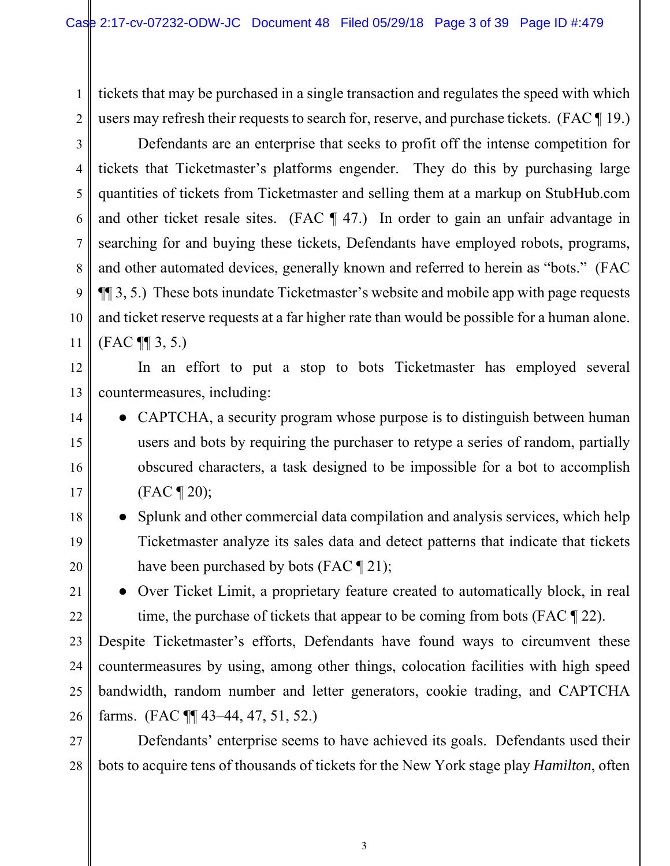1

2

12

13

14

15

16

17

18

19

20

21

22

tickets that may be purchased in a single transaction and regulates the speed with which users may refresh their requests to search for, reserve, and purchase tickets. (FAC ¶ 19.)

3 4 5 6 7 8 9 10 11 Defendants are an enterprise that seeks to profit off the intense competition for tickets that Ticketmaster's platforms engender. They do this by purchasing large quantities of tickets from Ticketmaster and selling them at a markup on StubHub.com and other ticket resale sites. (FAC ¶ 47.) In order to gain an unfair advantage in searching for and buying these tickets, Defendants have employed robots, programs, and other automated devices, generally known and referred to herein as "bots." (FAC ¶¶ 3, 5.) These bots inundate Ticketmaster's website and mobile app with page requests and ticket reserve requests at a far higher rate than would be possible for a human alone. (FAC ¶¶ 3, 5.)

In an effort to put a stop to bots Ticketmaster has employed several countermeasures, including:

- CAPTCHA, a security program whose purpose is to distinguish between human users and bots by requiring the purchaser to retype a series of random, partially obscured characters, a task designed to be impossible for a bot to accomplish (FAC ¶ 20);
- Splunk and other commercial data compilation and analysis services, which help Ticketmaster analyze its sales data and detect patterns that indicate that tickets have been purchased by bots (FAC ¶ 21);
	- Over Ticket Limit, a proprietary feature created to automatically block, in real time, the purchase of tickets that appear to be coming from bots (FAC ¶ 22).

23 24 25 26 Despite Ticketmaster's efforts, Defendants have found ways to circumvent these countermeasures by using, among other things, colocation facilities with high speed bandwidth, random number and letter generators, cookie trading, and CAPTCHA farms. (FAC ¶¶ 43–44, 47, 51, 52.)

27 28 Defendants' enterprise seems to have achieved its goals. Defendants used their bots to acquire tens of thousands of tickets for the New York stage play *Hamilton*, often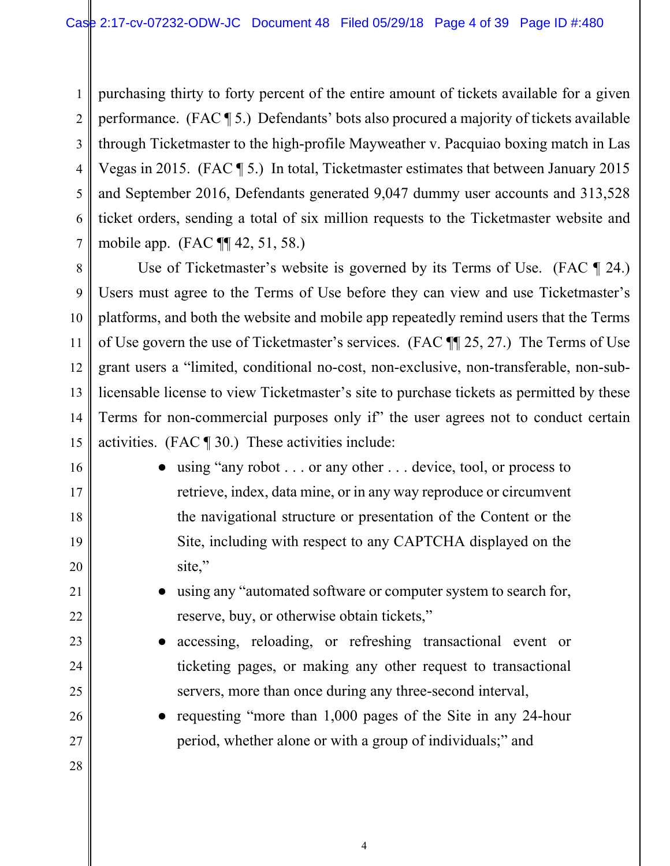1 2 3 4 5 6 7 purchasing thirty to forty percent of the entire amount of tickets available for a given performance. (FAC ¶ 5.) Defendants' bots also procured a majority of tickets available through Ticketmaster to the high-profile Mayweather v. Pacquiao boxing match in Las Vegas in 2015. (FAC ¶ 5.) In total, Ticketmaster estimates that between January 2015 and September 2016, Defendants generated 9,047 dummy user accounts and 313,528 ticket orders, sending a total of six million requests to the Ticketmaster website and mobile app. (FAC ¶¶ 42, 51, 58.)

8 9 10 11 12 13 14 15 Use of Ticketmaster's website is governed by its Terms of Use. (FAC  $\P$  24.) Users must agree to the Terms of Use before they can view and use Ticketmaster's platforms, and both the website and mobile app repeatedly remind users that the Terms of Use govern the use of Ticketmaster's services. (FAC ¶¶ 25, 27.) The Terms of Use grant users a "limited, conditional no-cost, non-exclusive, non-transferable, non-sublicensable license to view Ticketmaster's site to purchase tickets as permitted by these Terms for non-commercial purposes only if" the user agrees not to conduct certain activities. (FAC ¶ 30.) These activities include:

> • using "any robot . . . or any other . . . device, tool, or process to retrieve, index, data mine, or in any way reproduce or circumvent the navigational structure or presentation of the Content or the Site, including with respect to any CAPTCHA displayed on the site,"

16

17

18

19

20

21

22

23

24

25

26

27

- using any "automated software or computer system to search for, reserve, buy, or otherwise obtain tickets,"
- accessing, reloading, or refreshing transactional event or ticketing pages, or making any other request to transactional servers, more than once during any three-second interval,
- requesting "more than 1,000 pages of the Site in any 24-hour period, whether alone or with a group of individuals;" and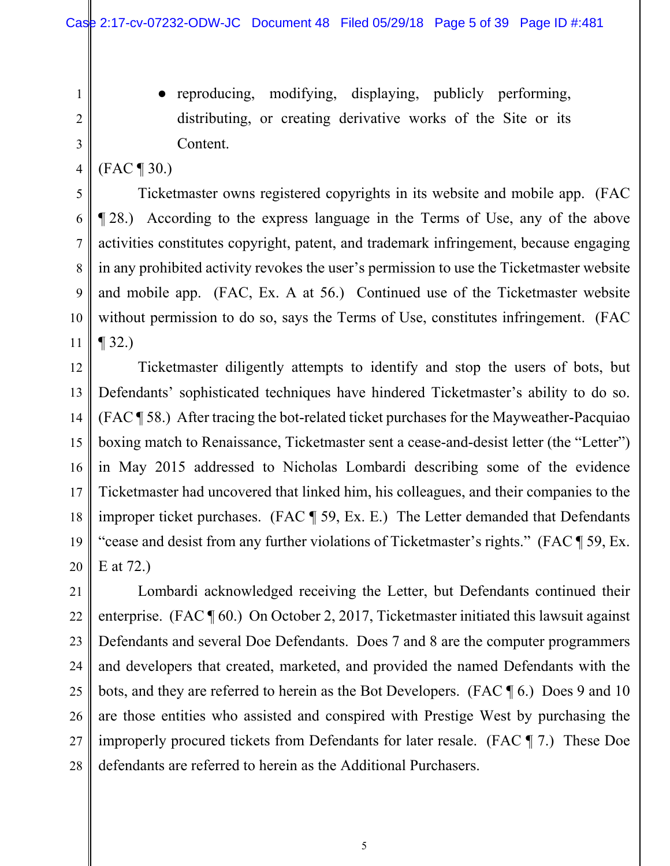2

3

4

5

6

7

8

9

10

11

1

● reproducing, modifying, displaying, publicly performing, distributing, or creating derivative works of the Site or its Content.

(FAC ¶ 30.)

 Ticketmaster owns registered copyrights in its website and mobile app. (FAC ¶ 28.) According to the express language in the Terms of Use, any of the above activities constitutes copyright, patent, and trademark infringement, because engaging in any prohibited activity revokes the user's permission to use the Ticketmaster website and mobile app. (FAC, Ex. A at 56.) Continued use of the Ticketmaster website without permission to do so, says the Terms of Use, constitutes infringement. (FAC  $\P$  32.)

12 13 14 15 16 17 18 19 20 Ticketmaster diligently attempts to identify and stop the users of bots, but Defendants' sophisticated techniques have hindered Ticketmaster's ability to do so. (FAC ¶ 58.) After tracing the bot-related ticket purchases for the Mayweather-Pacquiao boxing match to Renaissance, Ticketmaster sent a cease-and-desist letter (the "Letter") in May 2015 addressed to Nicholas Lombardi describing some of the evidence Ticketmaster had uncovered that linked him, his colleagues, and their companies to the improper ticket purchases. (FAC ¶ 59, Ex. E.) The Letter demanded that Defendants "cease and desist from any further violations of Ticketmaster's rights." (FAC ¶ 59, Ex. E at 72.)

21 22 23 24 25 26 27 28 Lombardi acknowledged receiving the Letter, but Defendants continued their enterprise. (FAC ¶ 60.) On October 2, 2017, Ticketmaster initiated this lawsuit against Defendants and several Doe Defendants. Does 7 and 8 are the computer programmers and developers that created, marketed, and provided the named Defendants with the bots, and they are referred to herein as the Bot Developers. (FAC ¶ 6.) Does 9 and 10 are those entities who assisted and conspired with Prestige West by purchasing the improperly procured tickets from Defendants for later resale. (FAC ¶ 7.) These Doe defendants are referred to herein as the Additional Purchasers.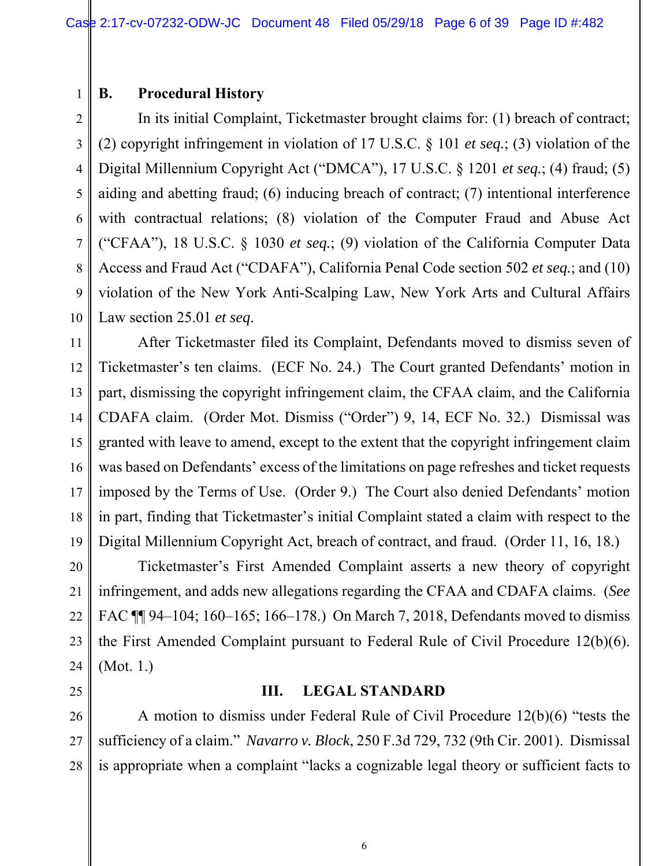## **B. Procedural History**

1

2 3 4 5 6 7 8 9 10 In its initial Complaint, Ticketmaster brought claims for: (1) breach of contract; (2) copyright infringement in violation of 17 U.S.C. § 101 *et seq.*; (3) violation of the Digital Millennium Copyright Act ("DMCA"), 17 U.S.C. § 1201 *et seq.*; (4) fraud; (5) aiding and abetting fraud; (6) inducing breach of contract; (7) intentional interference with contractual relations; (8) violation of the Computer Fraud and Abuse Act ("CFAA"), 18 U.S.C. § 1030 *et seq.*; (9) violation of the California Computer Data Access and Fraud Act ("CDAFA"), California Penal Code section 502 *et seq.*; and (10) violation of the New York Anti-Scalping Law, New York Arts and Cultural Affairs Law section 25.01 *et seq*.

11 12 13 14 15 16 17 18 19 After Ticketmaster filed its Complaint, Defendants moved to dismiss seven of Ticketmaster's ten claims. (ECF No. 24.) The Court granted Defendants' motion in part, dismissing the copyright infringement claim, the CFAA claim, and the California CDAFA claim. (Order Mot. Dismiss ("Order") 9, 14, ECF No. 32.) Dismissal was granted with leave to amend, except to the extent that the copyright infringement claim was based on Defendants' excess of the limitations on page refreshes and ticket requests imposed by the Terms of Use. (Order 9.) The Court also denied Defendants' motion in part, finding that Ticketmaster's initial Complaint stated a claim with respect to the Digital Millennium Copyright Act, breach of contract, and fraud. (Order 11, 16, 18.)

20 21 22 23 24 Ticketmaster's First Amended Complaint asserts a new theory of copyright infringement, and adds new allegations regarding the CFAA and CDAFA claims. (*See* FAC ¶¶ 94–104; 160–165; 166–178.) On March 7, 2018, Defendants moved to dismiss the First Amended Complaint pursuant to Federal Rule of Civil Procedure 12(b)(6). (Mot. 1.)

# 25

**III. LEGAL STANDARD** 

26 27 28 A motion to dismiss under Federal Rule of Civil Procedure 12(b)(6) "tests the sufficiency of a claim." *Navarro v. Block*, 250 F.3d 729, 732 (9th Cir. 2001). Dismissal is appropriate when a complaint "lacks a cognizable legal theory or sufficient facts to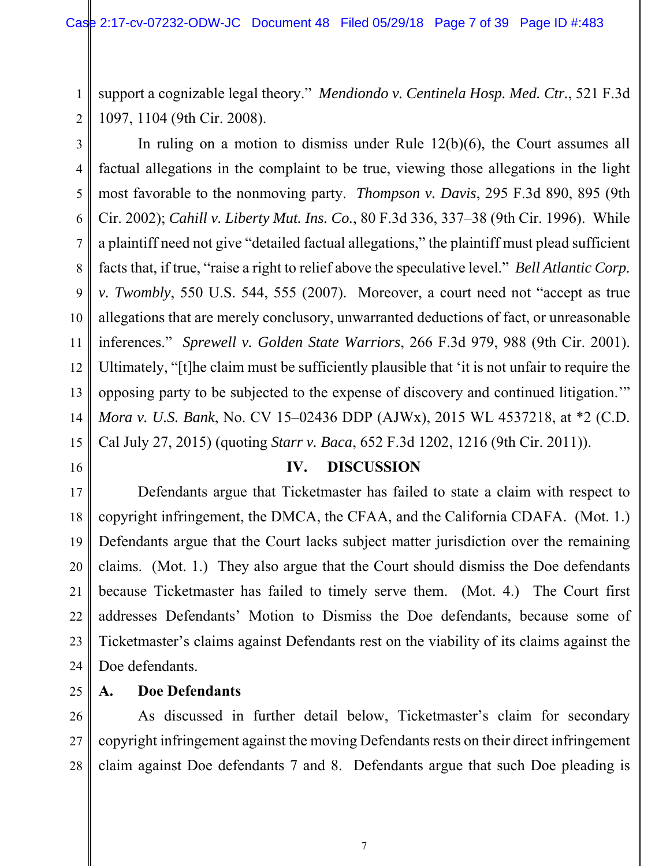2 support a cognizable legal theory." *Mendiondo v. Centinela Hosp. Med. Ctr.*, 521 F.3d 1097, 1104 (9th Cir. 2008).

3

1

4 5 6 7 8 9 10 11 12 13 14 15 In ruling on a motion to dismiss under Rule 12(b)(6), the Court assumes all factual allegations in the complaint to be true, viewing those allegations in the light most favorable to the nonmoving party. *Thompson v. Davis*, 295 F.3d 890, 895 (9th Cir. 2002); *Cahill v. Liberty Mut. Ins. Co.*, 80 F.3d 336, 337–38 (9th Cir. 1996). While a plaintiff need not give "detailed factual allegations," the plaintiff must plead sufficient facts that, if true, "raise a right to relief above the speculative level." *Bell Atlantic Corp. v. Twombly*, 550 U.S. 544, 555 (2007). Moreover, a court need not "accept as true allegations that are merely conclusory, unwarranted deductions of fact, or unreasonable inferences." *Sprewell v. Golden State Warriors*, 266 F.3d 979, 988 (9th Cir. 2001). Ultimately, "[t]he claim must be sufficiently plausible that 'it is not unfair to require the opposing party to be subjected to the expense of discovery and continued litigation.'" *Mora v. U.S. Bank*, No. CV 15–02436 DDP (AJWx), 2015 WL 4537218, at \*2 (C.D. Cal July 27, 2015) (quoting *Starr v. Baca*, 652 F.3d 1202, 1216 (9th Cir. 2011)).

16

#### **IV. DISCUSSION**

17 18 19 20 21 22 23 24 Defendants argue that Ticketmaster has failed to state a claim with respect to copyright infringement, the DMCA, the CFAA, and the California CDAFA. (Mot. 1.) Defendants argue that the Court lacks subject matter jurisdiction over the remaining claims. (Mot. 1.) They also argue that the Court should dismiss the Doe defendants because Ticketmaster has failed to timely serve them. (Mot. 4.) The Court first addresses Defendants' Motion to Dismiss the Doe defendants, because some of Ticketmaster's claims against Defendants rest on the viability of its claims against the Doe defendants.

25

## **A. Doe Defendants**

26 27 28 As discussed in further detail below, Ticketmaster's claim for secondary copyright infringement against the moving Defendants rests on their direct infringement claim against Doe defendants 7 and 8. Defendants argue that such Doe pleading is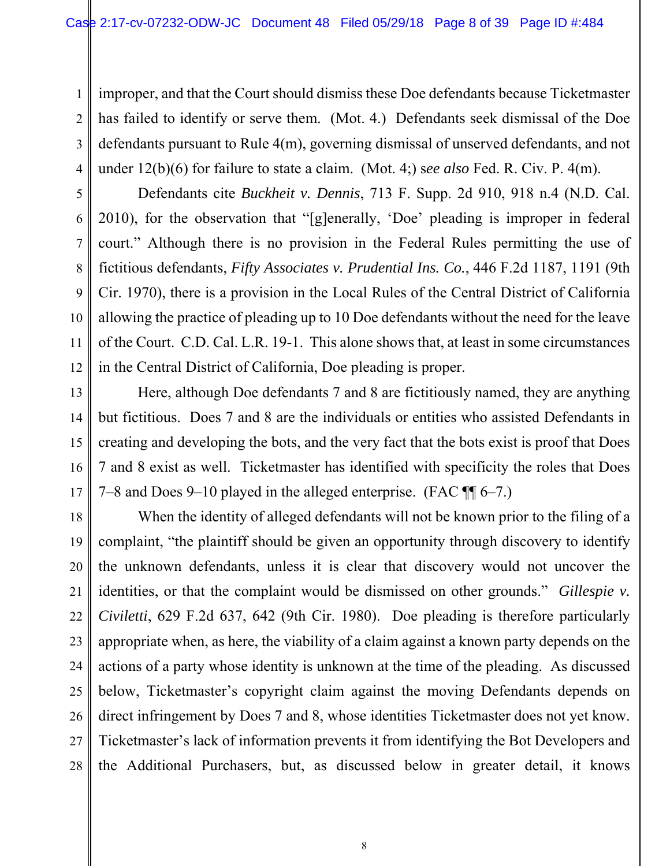1 2 3 4 improper, and that the Court should dismiss these Doe defendants because Ticketmaster has failed to identify or serve them. (Mot. 4.) Defendants seek dismissal of the Doe defendants pursuant to Rule 4(m), governing dismissal of unserved defendants, and not under 12(b)(6) for failure to state a claim. (Mot. 4;) s*ee also* Fed. R. Civ. P. 4(m).

5 6 7 8 9 10 12 Defendants cite *Buckheit v. Dennis*, 713 F. Supp. 2d 910, 918 n.4 (N.D. Cal. 2010), for the observation that "[g]enerally, 'Doe' pleading is improper in federal court." Although there is no provision in the Federal Rules permitting the use of fictitious defendants, *Fifty Associates v. Prudential Ins. Co.*, 446 F.2d 1187, 1191 (9th Cir. 1970), there is a provision in the Local Rules of the Central District of California allowing the practice of pleading up to 10 Doe defendants without the need for the leave of the Court. C.D. Cal. L.R. 19-1. This alone shows that, at least in some circumstances in the Central District of California, Doe pleading is proper.

11

13 14 15 16 17 Here, although Doe defendants 7 and 8 are fictitiously named, they are anything but fictitious. Does 7 and 8 are the individuals or entities who assisted Defendants in creating and developing the bots, and the very fact that the bots exist is proof that Does 7 and 8 exist as well. Ticketmaster has identified with specificity the roles that Does 7–8 and Does 9–10 played in the alleged enterprise. (FAC ¶¶ 6–7.)

18 19 20 21 22 23 24 25 26 27 28 When the identity of alleged defendants will not be known prior to the filing of a complaint, "the plaintiff should be given an opportunity through discovery to identify the unknown defendants, unless it is clear that discovery would not uncover the identities, or that the complaint would be dismissed on other grounds." *Gillespie v. Civiletti*, 629 F.2d 637, 642 (9th Cir. 1980). Doe pleading is therefore particularly appropriate when, as here, the viability of a claim against a known party depends on the actions of a party whose identity is unknown at the time of the pleading. As discussed below, Ticketmaster's copyright claim against the moving Defendants depends on direct infringement by Does 7 and 8, whose identities Ticketmaster does not yet know. Ticketmaster's lack of information prevents it from identifying the Bot Developers and the Additional Purchasers, but, as discussed below in greater detail, it knows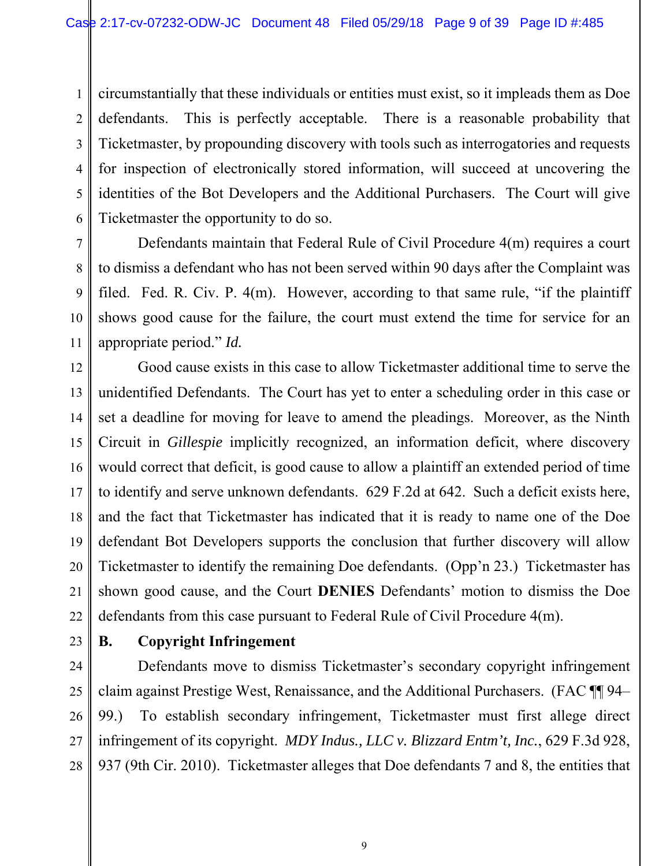1 2 3 4 5 6 circumstantially that these individuals or entities must exist, so it impleads them as Doe defendants. This is perfectly acceptable. There is a reasonable probability that Ticketmaster, by propounding discovery with tools such as interrogatories and requests for inspection of electronically stored information, will succeed at uncovering the identities of the Bot Developers and the Additional Purchasers. The Court will give Ticketmaster the opportunity to do so.

Defendants maintain that Federal Rule of Civil Procedure 4(m) requires a court to dismiss a defendant who has not been served within 90 days after the Complaint was filed. Fed. R. Civ. P. 4(m). However, according to that same rule, "if the plaintiff shows good cause for the failure, the court must extend the time for service for an appropriate period." *Id.*

12 13 14 15 16 17 18 19 20 21 22 Good cause exists in this case to allow Ticketmaster additional time to serve the unidentified Defendants. The Court has yet to enter a scheduling order in this case or set a deadline for moving for leave to amend the pleadings. Moreover, as the Ninth Circuit in *Gillespie* implicitly recognized, an information deficit, where discovery would correct that deficit, is good cause to allow a plaintiff an extended period of time to identify and serve unknown defendants. 629 F.2d at 642. Such a deficit exists here, and the fact that Ticketmaster has indicated that it is ready to name one of the Doe defendant Bot Developers supports the conclusion that further discovery will allow Ticketmaster to identify the remaining Doe defendants. (Opp'n 23.) Ticketmaster has shown good cause, and the Court **DENIES** Defendants' motion to dismiss the Doe defendants from this case pursuant to Federal Rule of Civil Procedure 4(m).

23

7

8

9

10

11

# **B. Copyright Infringement**

24 25 26 27 28 Defendants move to dismiss Ticketmaster's secondary copyright infringement claim against Prestige West, Renaissance, and the Additional Purchasers. (FAC ¶¶ 94– 99.) To establish secondary infringement, Ticketmaster must first allege direct infringement of its copyright. *MDY Indus., LLC v. Blizzard Entm't, Inc.*, 629 F.3d 928, 937 (9th Cir. 2010). Ticketmaster alleges that Doe defendants 7 and 8, the entities that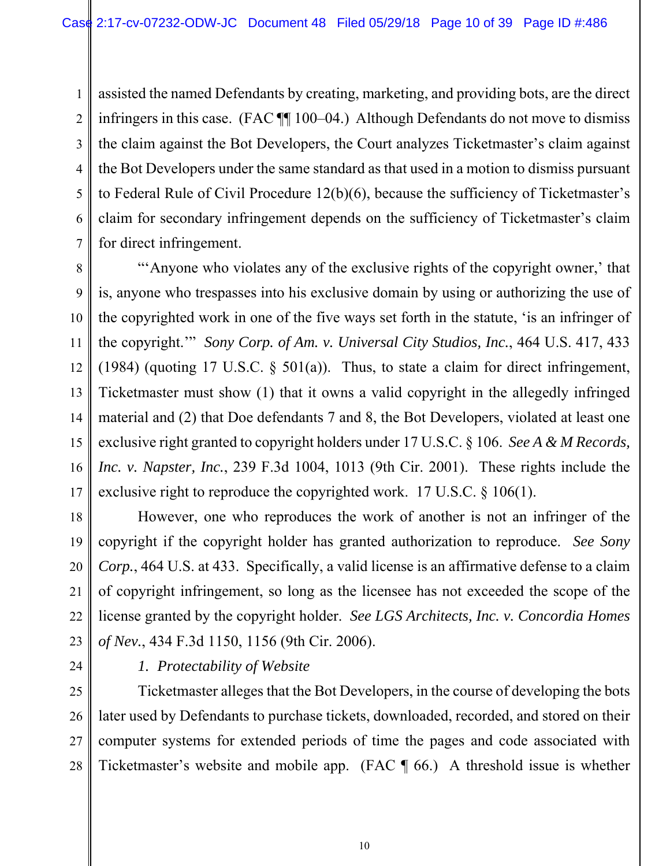1 2 3 4 5 6 7 assisted the named Defendants by creating, marketing, and providing bots, are the direct infringers in this case. (FAC ¶¶ 100–04.) Although Defendants do not move to dismiss the claim against the Bot Developers, the Court analyzes Ticketmaster's claim against the Bot Developers under the same standard as that used in a motion to dismiss pursuant to Federal Rule of Civil Procedure 12(b)(6), because the sufficiency of Ticketmaster's claim for secondary infringement depends on the sufficiency of Ticketmaster's claim for direct infringement.

8 9 10 11 12 13 14 15 16 17 "'Anyone who violates any of the exclusive rights of the copyright owner,' that is, anyone who trespasses into his exclusive domain by using or authorizing the use of the copyrighted work in one of the five ways set forth in the statute, 'is an infringer of the copyright.'" *Sony Corp. of Am. v. Universal City Studios, Inc.*, 464 U.S. 417, 433 (1984) (quoting 17 U.S.C.  $\delta$  501(a)). Thus, to state a claim for direct infringement, Ticketmaster must show (1) that it owns a valid copyright in the allegedly infringed material and (2) that Doe defendants 7 and 8, the Bot Developers, violated at least one exclusive right granted to copyright holders under 17 U.S.C. § 106. *See A & M Records, Inc. v. Napster, Inc.*, 239 F.3d 1004, 1013 (9th Cir. 2001). These rights include the exclusive right to reproduce the copyrighted work. 17 U.S.C. § 106(1).

18 19 20 21 22 23 However, one who reproduces the work of another is not an infringer of the copyright if the copyright holder has granted authorization to reproduce. *See Sony Corp.*, 464 U.S. at 433. Specifically, a valid license is an affirmative defense to a claim of copyright infringement, so long as the licensee has not exceeded the scope of the license granted by the copyright holder. *See LGS Architects, Inc. v. Concordia Homes of Nev.*, 434 F.3d 1150, 1156 (9th Cir. 2006).

24

# *1. Protectability of Website*

25 26 27 28 Ticketmaster alleges that the Bot Developers, in the course of developing the bots later used by Defendants to purchase tickets, downloaded, recorded, and stored on their computer systems for extended periods of time the pages and code associated with Ticketmaster's website and mobile app. (FAC ¶ 66.) A threshold issue is whether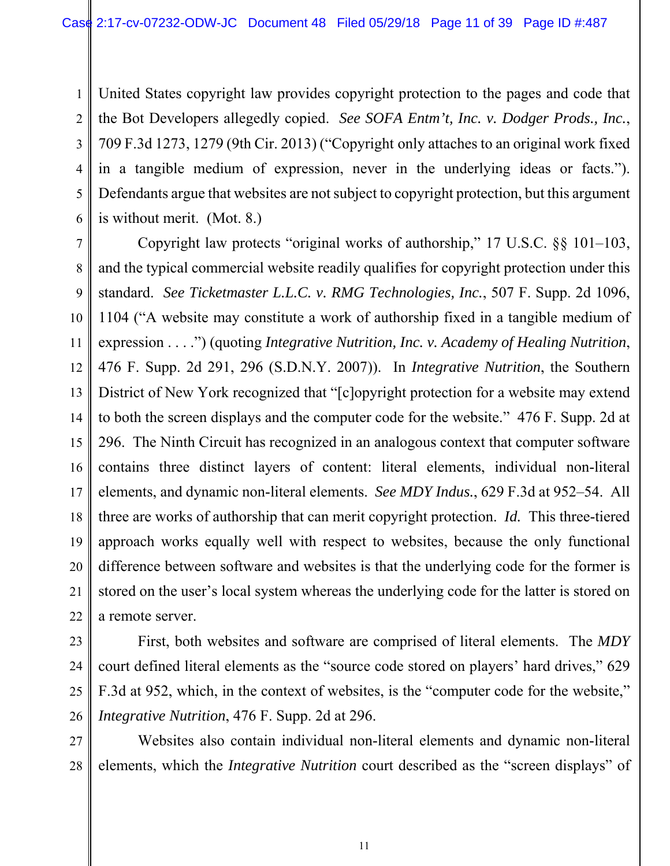1 2 3 4 5 6 United States copyright law provides copyright protection to the pages and code that the Bot Developers allegedly copied. *See SOFA Entm't, Inc. v. Dodger Prods., Inc.*, 709 F.3d 1273, 1279 (9th Cir. 2013) ("Copyright only attaches to an original work fixed in a tangible medium of expression, never in the underlying ideas or facts."). Defendants argue that websites are not subject to copyright protection, but this argument is without merit. (Mot. 8.)

7 8 9 10 11 12 13 14 15 16 17 18 19 20 21 22 Copyright law protects "original works of authorship," 17 U.S.C. §§ 101–103, and the typical commercial website readily qualifies for copyright protection under this standard. *See Ticketmaster L.L.C. v. RMG Technologies, Inc.*, 507 F. Supp. 2d 1096, 1104 ("A website may constitute a work of authorship fixed in a tangible medium of expression . . . .") (quoting *Integrative Nutrition, Inc. v. Academy of Healing Nutrition*, 476 F. Supp. 2d 291, 296 (S.D.N.Y. 2007)). In *Integrative Nutrition*, the Southern District of New York recognized that "[c]opyright protection for a website may extend to both the screen displays and the computer code for the website." 476 F. Supp. 2d at 296. The Ninth Circuit has recognized in an analogous context that computer software contains three distinct layers of content: literal elements, individual non-literal elements, and dynamic non-literal elements. *See MDY Indus.*, 629 F.3d at 952–54. All three are works of authorship that can merit copyright protection. *Id.* This three-tiered approach works equally well with respect to websites, because the only functional difference between software and websites is that the underlying code for the former is stored on the user's local system whereas the underlying code for the latter is stored on a remote server.

23 24 25

26 First, both websites and software are comprised of literal elements. The *MDY* court defined literal elements as the "source code stored on players' hard drives," 629 F.3d at 952, which, in the context of websites, is the "computer code for the website," *Integrative Nutrition*, 476 F. Supp. 2d at 296.

27 28 Websites also contain individual non-literal elements and dynamic non-literal elements, which the *Integrative Nutrition* court described as the "screen displays" of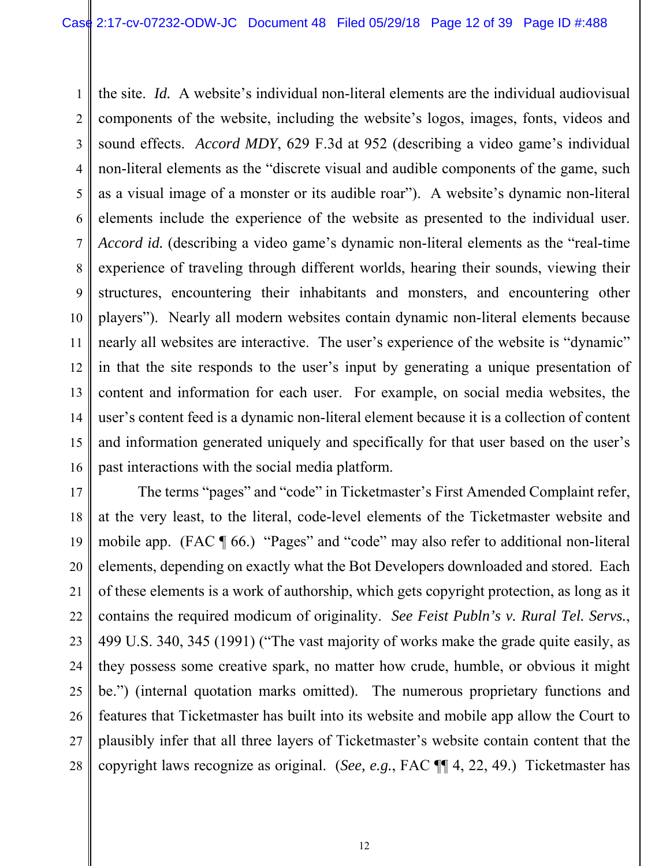1 2 3 4 5 6 7 8 9 10 11 12 13 14 15 16 the site. *Id.* A website's individual non-literal elements are the individual audiovisual components of the website, including the website's logos, images, fonts, videos and sound effects. *Accord MDY*, 629 F.3d at 952 (describing a video game's individual non-literal elements as the "discrete visual and audible components of the game, such as a visual image of a monster or its audible roar"). A website's dynamic non-literal elements include the experience of the website as presented to the individual user. *Accord id.* (describing a video game's dynamic non-literal elements as the "real-time experience of traveling through different worlds, hearing their sounds, viewing their structures, encountering their inhabitants and monsters, and encountering other players"). Nearly all modern websites contain dynamic non-literal elements because nearly all websites are interactive. The user's experience of the website is "dynamic" in that the site responds to the user's input by generating a unique presentation of content and information for each user. For example, on social media websites, the user's content feed is a dynamic non-literal element because it is a collection of content and information generated uniquely and specifically for that user based on the user's past interactions with the social media platform.

17 18 19 20 21 22 23 24 25 26 27 28 The terms "pages" and "code" in Ticketmaster's First Amended Complaint refer, at the very least, to the literal, code-level elements of the Ticketmaster website and mobile app. (FAC ¶ 66.) "Pages" and "code" may also refer to additional non-literal elements, depending on exactly what the Bot Developers downloaded and stored. Each of these elements is a work of authorship, which gets copyright protection, as long as it contains the required modicum of originality. *See Feist Publn's v. Rural Tel. Servs.*, 499 U.S. 340, 345 (1991) ("The vast majority of works make the grade quite easily, as they possess some creative spark, no matter how crude, humble, or obvious it might be.") (internal quotation marks omitted). The numerous proprietary functions and features that Ticketmaster has built into its website and mobile app allow the Court to plausibly infer that all three layers of Ticketmaster's website contain content that the copyright laws recognize as original. (*See, e.g.*, FAC ¶¶ 4, 22, 49.) Ticketmaster has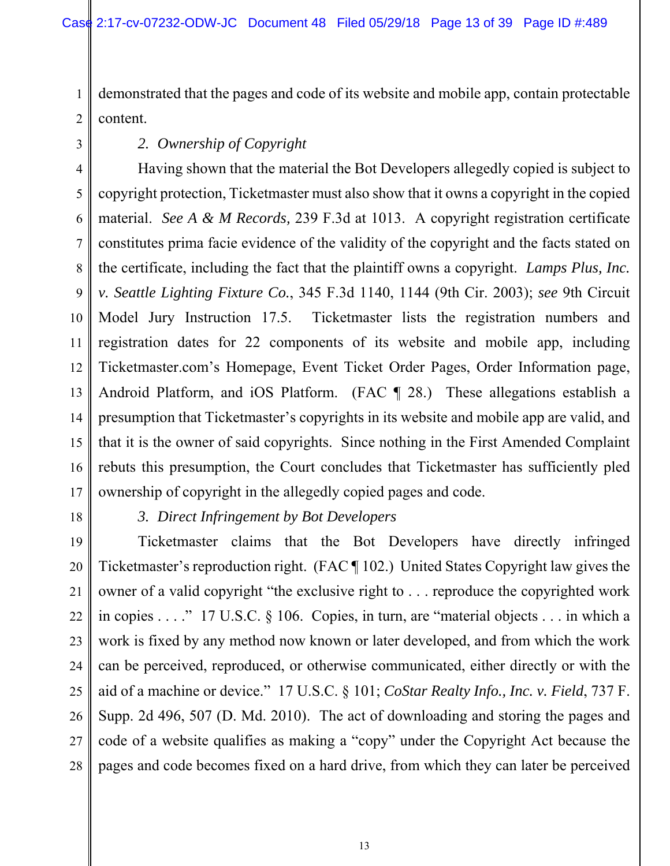1 2 demonstrated that the pages and code of its website and mobile app, contain protectable content.

3

# *2. Ownership of Copyright*

4 5 6 7 8 9 10 11 12 13 14 15 16 17 Having shown that the material the Bot Developers allegedly copied is subject to copyright protection, Ticketmaster must also show that it owns a copyright in the copied material. *See A & M Records,* 239 F.3d at 1013. A copyright registration certificate constitutes prima facie evidence of the validity of the copyright and the facts stated on the certificate, including the fact that the plaintiff owns a copyright. *Lamps Plus, Inc. v. Seattle Lighting Fixture Co.*, 345 F.3d 1140, 1144 (9th Cir. 2003); *see* 9th Circuit Model Jury Instruction 17.5. Ticketmaster lists the registration numbers and registration dates for 22 components of its website and mobile app, including Ticketmaster.com's Homepage, Event Ticket Order Pages, Order Information page, Android Platform, and iOS Platform. (FAC ¶ 28.) These allegations establish a presumption that Ticketmaster's copyrights in its website and mobile app are valid, and that it is the owner of said copyrights. Since nothing in the First Amended Complaint rebuts this presumption, the Court concludes that Ticketmaster has sufficiently pled ownership of copyright in the allegedly copied pages and code.

18

*3. Direct Infringement by Bot Developers* 

19 20 21 22 23 24 25 26 27 28 Ticketmaster claims that the Bot Developers have directly infringed Ticketmaster's reproduction right. (FAC ¶ 102.) United States Copyright law gives the owner of a valid copyright "the exclusive right to . . . reproduce the copyrighted work in copies . . . ." 17 U.S.C. § 106. Copies, in turn, are "material objects . . . in which a work is fixed by any method now known or later developed, and from which the work can be perceived, reproduced, or otherwise communicated, either directly or with the aid of a machine or device." 17 U.S.C. § 101; *CoStar Realty Info., Inc. v. Field*, 737 F. Supp. 2d 496, 507 (D. Md. 2010). The act of downloading and storing the pages and code of a website qualifies as making a "copy" under the Copyright Act because the pages and code becomes fixed on a hard drive, from which they can later be perceived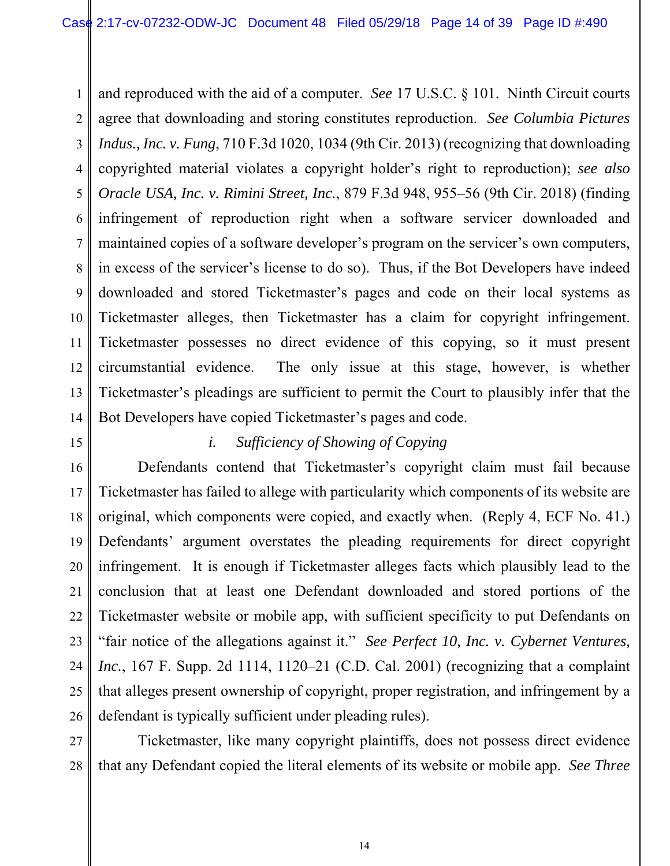1 2 3 4 5 6 7 8 9 10 11 12 13 14 and reproduced with the aid of a computer. *See* 17 U.S.C. § 101. Ninth Circuit courts agree that downloading and storing constitutes reproduction. *See Columbia Pictures Indus., Inc. v. Fung*, 710 F.3d 1020, 1034 (9th Cir. 2013) (recognizing that downloading copyrighted material violates a copyright holder's right to reproduction); *see also Oracle USA, Inc. v. Rimini Street, Inc.*, 879 F.3d 948, 955–56 (9th Cir. 2018) (finding infringement of reproduction right when a software servicer downloaded and maintained copies of a software developer's program on the servicer's own computers, in excess of the servicer's license to do so). Thus, if the Bot Developers have indeed downloaded and stored Ticketmaster's pages and code on their local systems as Ticketmaster alleges, then Ticketmaster has a claim for copyright infringement. Ticketmaster possesses no direct evidence of this copying, so it must present circumstantial evidence. The only issue at this stage, however, is whether Ticketmaster's pleadings are sufficient to permit the Court to plausibly infer that the Bot Developers have copied Ticketmaster's pages and code.

15

# *i. Sufficiency of Showing of Copying*

16 17 18 19 20 21 22 23 24 25 26 Defendants contend that Ticketmaster's copyright claim must fail because Ticketmaster has failed to allege with particularity which components of its website are original, which components were copied, and exactly when. (Reply 4, ECF No. 41.) Defendants' argument overstates the pleading requirements for direct copyright infringement. It is enough if Ticketmaster alleges facts which plausibly lead to the conclusion that at least one Defendant downloaded and stored portions of the Ticketmaster website or mobile app, with sufficient specificity to put Defendants on "fair notice of the allegations against it." *See Perfect 10, Inc. v. Cybernet Ventures, Inc.*, 167 F. Supp. 2d 1114, 1120–21 (C.D. Cal. 2001) (recognizing that a complaint that alleges present ownership of copyright, proper registration, and infringement by a defendant is typically sufficient under pleading rules).

27 28 Ticketmaster, like many copyright plaintiffs, does not possess direct evidence that any Defendant copied the literal elements of its website or mobile app. *See Three*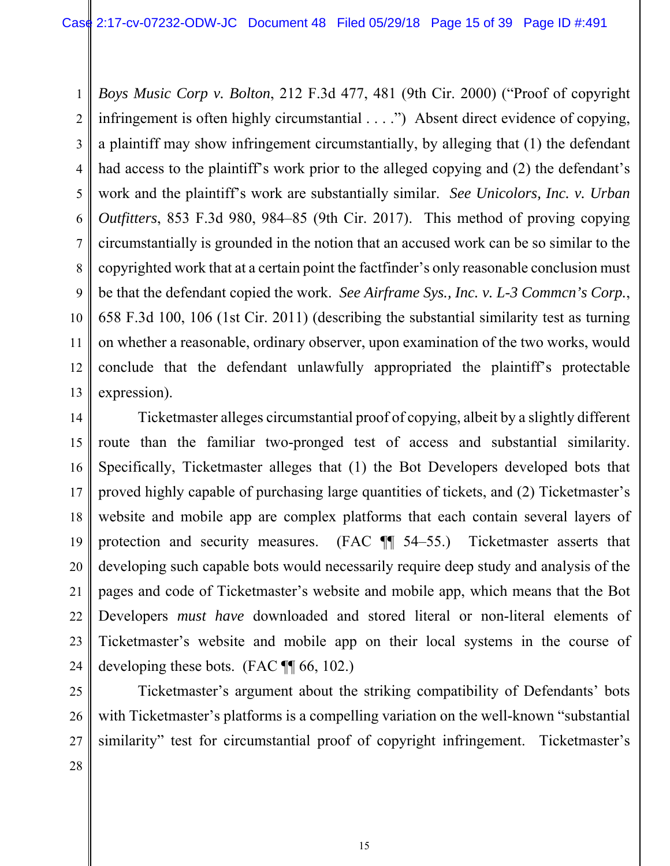1 2 3 4 5 6 7 8 9 10 11 12 13 *Boys Music Corp v. Bolton*, 212 F.3d 477, 481 (9th Cir. 2000) ("Proof of copyright infringement is often highly circumstantial . . . .") Absent direct evidence of copying, a plaintiff may show infringement circumstantially, by alleging that (1) the defendant had access to the plaintiff's work prior to the alleged copying and (2) the defendant's work and the plaintiff's work are substantially similar. *See Unicolors, Inc. v. Urban Outfitters*, 853 F.3d 980, 984–85 (9th Cir. 2017). This method of proving copying circumstantially is grounded in the notion that an accused work can be so similar to the copyrighted work that at a certain point the factfinder's only reasonable conclusion must be that the defendant copied the work. *See Airframe Sys., Inc. v. L-3 Commcn's Corp.*, 658 F.3d 100, 106 (1st Cir. 2011) (describing the substantial similarity test as turning on whether a reasonable, ordinary observer, upon examination of the two works, would conclude that the defendant unlawfully appropriated the plaintiff's protectable expression).

14 15 16 17 18 19 20 21 22 23 24 Ticketmaster alleges circumstantial proof of copying, albeit by a slightly different route than the familiar two-pronged test of access and substantial similarity. Specifically, Ticketmaster alleges that (1) the Bot Developers developed bots that proved highly capable of purchasing large quantities of tickets, and (2) Ticketmaster's website and mobile app are complex platforms that each contain several layers of protection and security measures. (FAC ¶¶ 54–55.) Ticketmaster asserts that developing such capable bots would necessarily require deep study and analysis of the pages and code of Ticketmaster's website and mobile app, which means that the Bot Developers *must have* downloaded and stored literal or non-literal elements of Ticketmaster's website and mobile app on their local systems in the course of developing these bots. (FAC ¶¶ 66, 102.)

25 26 27 Ticketmaster's argument about the striking compatibility of Defendants' bots with Ticketmaster's platforms is a compelling variation on the well-known "substantial similarity" test for circumstantial proof of copyright infringement. Ticketmaster's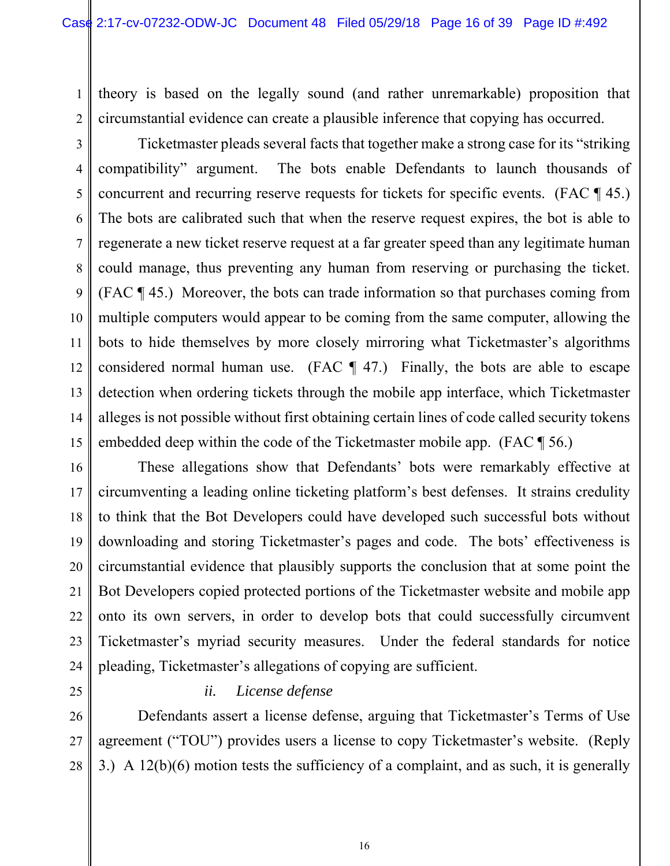1 theory is based on the legally sound (and rather unremarkable) proposition that circumstantial evidence can create a plausible inference that copying has occurred.

2 3

4 5 6 7 8 9 10 11 12 13 14 15 Ticketmaster pleads several facts that together make a strong case for its "striking compatibility" argument. The bots enable Defendants to launch thousands of concurrent and recurring reserve requests for tickets for specific events. (FAC ¶ 45.) The bots are calibrated such that when the reserve request expires, the bot is able to regenerate a new ticket reserve request at a far greater speed than any legitimate human could manage, thus preventing any human from reserving or purchasing the ticket. (FAC ¶ 45.) Moreover, the bots can trade information so that purchases coming from multiple computers would appear to be coming from the same computer, allowing the bots to hide themselves by more closely mirroring what Ticketmaster's algorithms considered normal human use. (FAC  $\P$  47.) Finally, the bots are able to escape detection when ordering tickets through the mobile app interface, which Ticketmaster alleges is not possible without first obtaining certain lines of code called security tokens embedded deep within the code of the Ticketmaster mobile app. (FAC ¶ 56.)

16 17 18 19 20 21 22 23 24 These allegations show that Defendants' bots were remarkably effective at circumventing a leading online ticketing platform's best defenses. It strains credulity to think that the Bot Developers could have developed such successful bots without downloading and storing Ticketmaster's pages and code. The bots' effectiveness is circumstantial evidence that plausibly supports the conclusion that at some point the Bot Developers copied protected portions of the Ticketmaster website and mobile app onto its own servers, in order to develop bots that could successfully circumvent Ticketmaster's myriad security measures. Under the federal standards for notice pleading, Ticketmaster's allegations of copying are sufficient.

25

## *ii. License defense*

26 27 28 Defendants assert a license defense, arguing that Ticketmaster's Terms of Use agreement ("TOU") provides users a license to copy Ticketmaster's website. (Reply 3.) A 12(b)(6) motion tests the sufficiency of a complaint, and as such, it is generally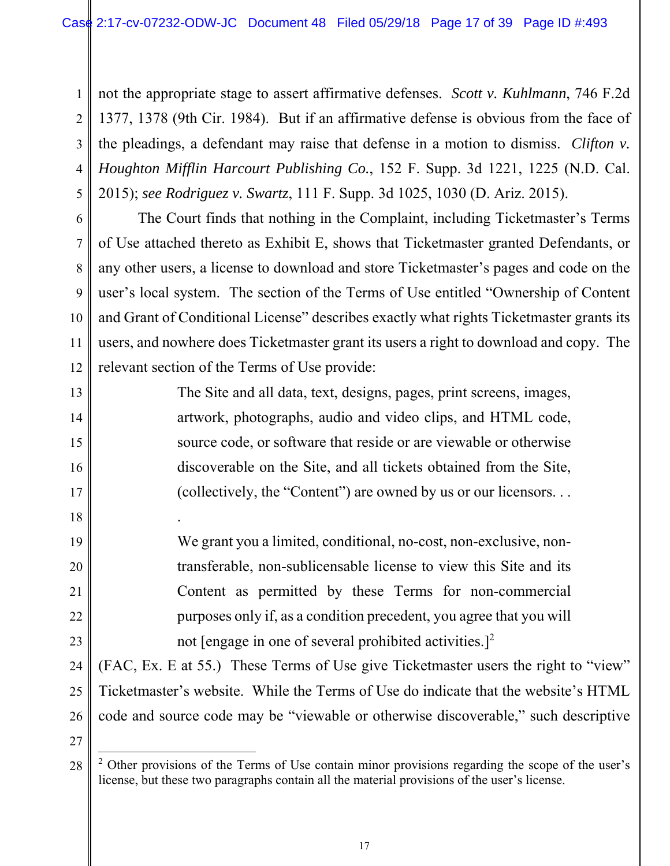1 2 3 4 5 not the appropriate stage to assert affirmative defenses. *Scott v. Kuhlmann*, 746 F.2d 1377, 1378 (9th Cir. 1984). But if an affirmative defense is obvious from the face of the pleadings, a defendant may raise that defense in a motion to dismiss. *Clifton v. Houghton Mifflin Harcourt Publishing Co.*, 152 F. Supp. 3d 1221, 1225 (N.D. Cal. 2015); *see Rodriguez v. Swartz*, 111 F. Supp. 3d 1025, 1030 (D. Ariz. 2015).

6 7

8

9

10

11

12

13

14

15

16

17

18

.

19

20

21

22

23

The Court finds that nothing in the Complaint, including Ticketmaster's Terms of Use attached thereto as Exhibit E, shows that Ticketmaster granted Defendants, or any other users, a license to download and store Ticketmaster's pages and code on the user's local system. The section of the Terms of Use entitled "Ownership of Content and Grant of Conditional License" describes exactly what rights Ticketmaster grants its users, and nowhere does Ticketmaster grant its users a right to download and copy. The relevant section of the Terms of Use provide:

> The Site and all data, text, designs, pages, print screens, images, artwork, photographs, audio and video clips, and HTML code, source code, or software that reside or are viewable or otherwise discoverable on the Site, and all tickets obtained from the Site, (collectively, the "Content") are owned by us or our licensors. . .

We grant you a limited, conditional, no-cost, non-exclusive, nontransferable, non-sublicensable license to view this Site and its Content as permitted by these Terms for non-commercial purposes only if, as a condition precedent, you agree that you will not [engage in one of several prohibited activities.]<sup>2</sup>

24 25 26 (FAC, Ex. E at 55.) These Terms of Use give Ticketmaster users the right to "view" Ticketmaster's website. While the Terms of Use do indicate that the website's HTML code and source code may be "viewable or otherwise discoverable," such descriptive

<sup>28</sup>  $\overline{a}$ <sup>2</sup> Other provisions of the Terms of Use contain minor provisions regarding the scope of the user's license, but these two paragraphs contain all the material provisions of the user's license.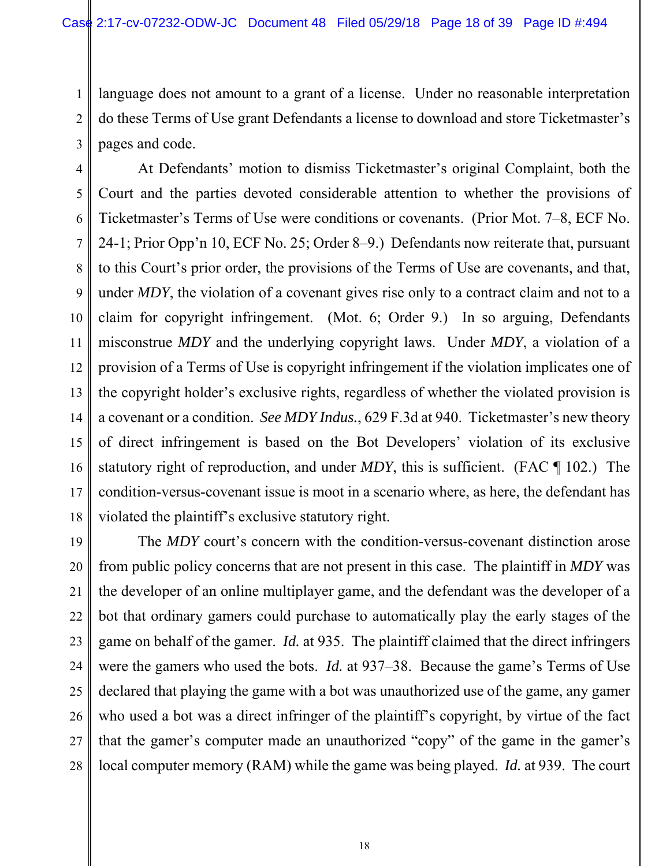1 2 3 language does not amount to a grant of a license. Under no reasonable interpretation do these Terms of Use grant Defendants a license to download and store Ticketmaster's pages and code.

4 5 6 7 8 9 10 11 12 13 14 15 16 17 18 At Defendants' motion to dismiss Ticketmaster's original Complaint, both the Court and the parties devoted considerable attention to whether the provisions of Ticketmaster's Terms of Use were conditions or covenants. (Prior Mot. 7–8, ECF No. 24-1; Prior Opp'n 10, ECF No. 25; Order 8–9.) Defendants now reiterate that, pursuant to this Court's prior order, the provisions of the Terms of Use are covenants, and that, under *MDY*, the violation of a covenant gives rise only to a contract claim and not to a claim for copyright infringement. (Mot. 6; Order 9.) In so arguing, Defendants misconstrue *MDY* and the underlying copyright laws. Under *MDY*, a violation of a provision of a Terms of Use is copyright infringement if the violation implicates one of the copyright holder's exclusive rights, regardless of whether the violated provision is a covenant or a condition. *See MDY Indus.*, 629 F.3d at 940. Ticketmaster's new theory of direct infringement is based on the Bot Developers' violation of its exclusive statutory right of reproduction, and under *MDY*, this is sufficient. (FAC ¶ 102.) The condition-versus-covenant issue is moot in a scenario where, as here, the defendant has violated the plaintiff's exclusive statutory right.

19 20 21 22 23 24 25 26 27 28 The *MDY* court's concern with the condition-versus-covenant distinction arose from public policy concerns that are not present in this case. The plaintiff in *MDY* was the developer of an online multiplayer game, and the defendant was the developer of a bot that ordinary gamers could purchase to automatically play the early stages of the game on behalf of the gamer. *Id.* at 935. The plaintiff claimed that the direct infringers were the gamers who used the bots. *Id.* at 937–38. Because the game's Terms of Use declared that playing the game with a bot was unauthorized use of the game, any gamer who used a bot was a direct infringer of the plaintiff's copyright, by virtue of the fact that the gamer's computer made an unauthorized "copy" of the game in the gamer's local computer memory (RAM) while the game was being played. *Id.* at 939. The court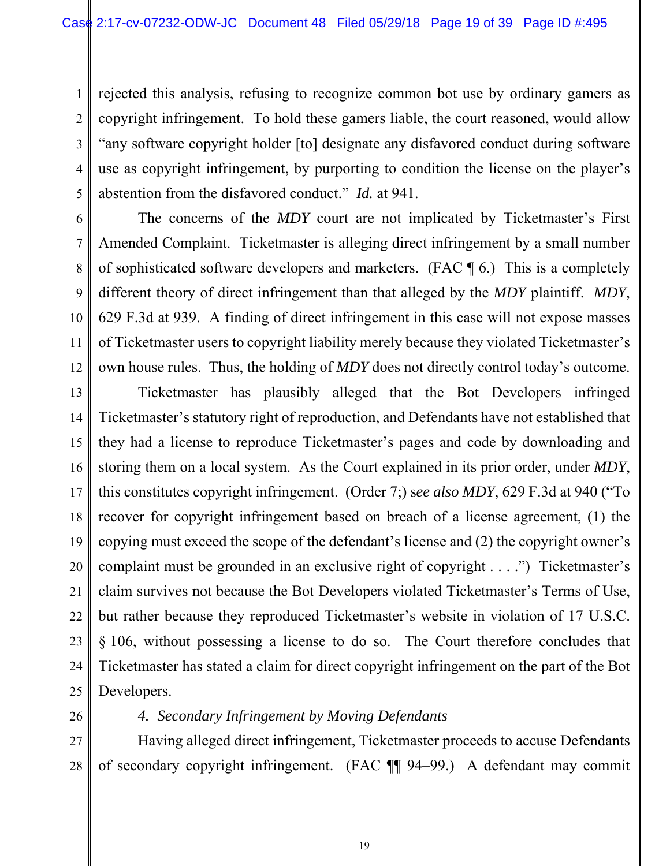1 2 3 4 5 rejected this analysis, refusing to recognize common bot use by ordinary gamers as copyright infringement. To hold these gamers liable, the court reasoned, would allow "any software copyright holder [to] designate any disfavored conduct during software use as copyright infringement, by purporting to condition the license on the player's abstention from the disfavored conduct." *Id.* at 941.

12

The concerns of the *MDY* court are not implicated by Ticketmaster's First Amended Complaint. Ticketmaster is alleging direct infringement by a small number of sophisticated software developers and marketers. (FAC ¶ 6.) This is a completely different theory of direct infringement than that alleged by the *MDY* plaintiff. *MDY*, 629 F.3d at 939. A finding of direct infringement in this case will not expose masses of Ticketmaster users to copyright liability merely because they violated Ticketmaster's own house rules. Thus, the holding of *MDY* does not directly control today's outcome.

13 14 15 16 17 18 19 20 21 22 23 24 25 Ticketmaster has plausibly alleged that the Bot Developers infringed Ticketmaster's statutory right of reproduction, and Defendants have not established that they had a license to reproduce Ticketmaster's pages and code by downloading and storing them on a local system. As the Court explained in its prior order, under *MDY*, this constitutes copyright infringement. (Order 7;) s*ee also MDY*, 629 F.3d at 940 ("To recover for copyright infringement based on breach of a license agreement, (1) the copying must exceed the scope of the defendant's license and (2) the copyright owner's complaint must be grounded in an exclusive right of copyright . . . .") Ticketmaster's claim survives not because the Bot Developers violated Ticketmaster's Terms of Use, but rather because they reproduced Ticketmaster's website in violation of 17 U.S.C. § 106, without possessing a license to do so. The Court therefore concludes that Ticketmaster has stated a claim for direct copyright infringement on the part of the Bot Developers.

26

# *4. Secondary Infringement by Moving Defendants*

27 28 Having alleged direct infringement, Ticketmaster proceeds to accuse Defendants of secondary copyright infringement. (FAC ¶¶ 94–99.) A defendant may commit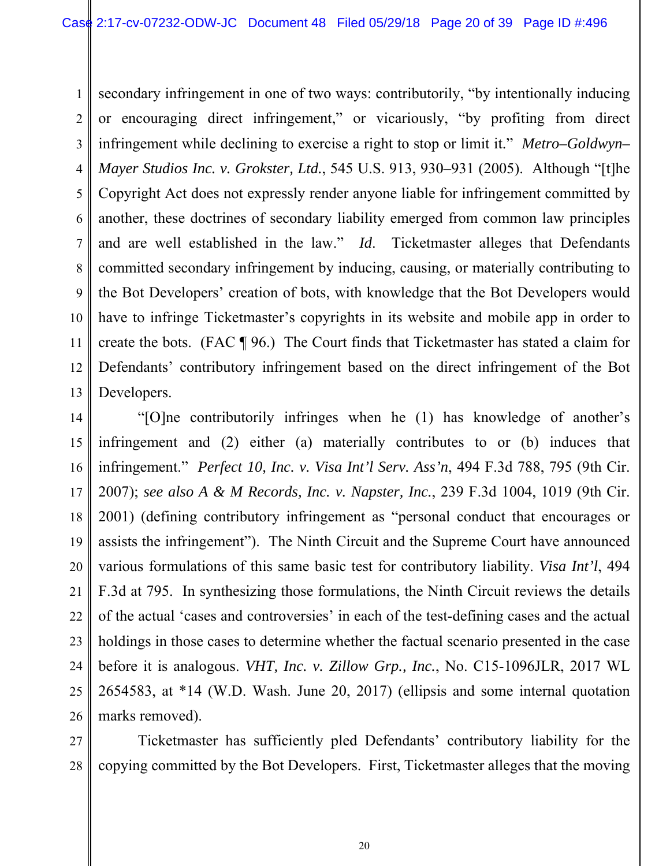1 2 3 4 5 6 7 8 9 10 11 12 13 secondary infringement in one of two ways: contributorily, "by intentionally inducing or encouraging direct infringement," or vicariously, "by profiting from direct infringement while declining to exercise a right to stop or limit it." *Metro–Goldwyn– Mayer Studios Inc. v. Grokster, Ltd.*, 545 U.S. 913, 930–931 (2005). Although "[t]he Copyright Act does not expressly render anyone liable for infringement committed by another, these doctrines of secondary liability emerged from common law principles and are well established in the law." *Id*. Ticketmaster alleges that Defendants committed secondary infringement by inducing, causing, or materially contributing to the Bot Developers' creation of bots, with knowledge that the Bot Developers would have to infringe Ticketmaster's copyrights in its website and mobile app in order to create the bots. (FAC ¶ 96.) The Court finds that Ticketmaster has stated a claim for Defendants' contributory infringement based on the direct infringement of the Bot Developers.

14 15 16 17 18 19 20 21 22 23 24 25 26 "[O]ne contributorily infringes when he (1) has knowledge of another's infringement and (2) either (a) materially contributes to or (b) induces that infringement." *Perfect 10, Inc. v. Visa Int'l Serv. Ass'n*, 494 F.3d 788, 795 (9th Cir. 2007); *see also A & M Records, Inc. v. Napster, Inc.*, 239 F.3d 1004, 1019 (9th Cir. 2001) (defining contributory infringement as "personal conduct that encourages or assists the infringement"). The Ninth Circuit and the Supreme Court have announced various formulations of this same basic test for contributory liability. *Visa Int'l*, 494 F.3d at 795. In synthesizing those formulations, the Ninth Circuit reviews the details of the actual 'cases and controversies' in each of the test-defining cases and the actual holdings in those cases to determine whether the factual scenario presented in the case before it is analogous. *VHT, Inc. v. Zillow Grp., Inc.*, No. C15-1096JLR, 2017 WL 2654583, at \*14 (W.D. Wash. June 20, 2017) (ellipsis and some internal quotation marks removed).

27 28 Ticketmaster has sufficiently pled Defendants' contributory liability for the copying committed by the Bot Developers. First, Ticketmaster alleges that the moving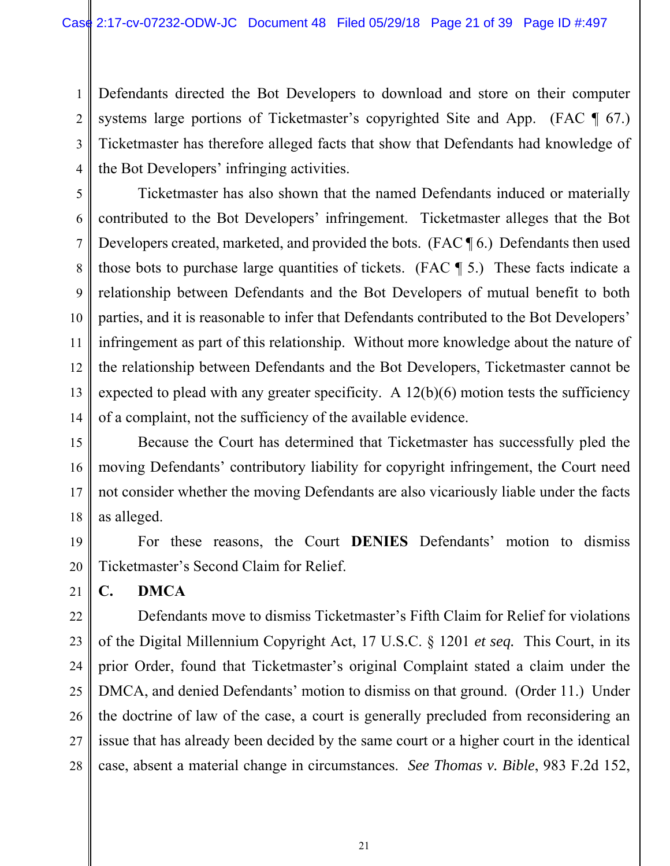1 2 3 4 Defendants directed the Bot Developers to download and store on their computer systems large portions of Ticketmaster's copyrighted Site and App. (FAC ¶ 67.) Ticketmaster has therefore alleged facts that show that Defendants had knowledge of the Bot Developers' infringing activities.

5 6 7 8 9 10 11 12 13 14 Ticketmaster has also shown that the named Defendants induced or materially contributed to the Bot Developers' infringement. Ticketmaster alleges that the Bot Developers created, marketed, and provided the bots. (FAC ¶ 6.) Defendants then used those bots to purchase large quantities of tickets. (FAC ¶ 5.) These facts indicate a relationship between Defendants and the Bot Developers of mutual benefit to both parties, and it is reasonable to infer that Defendants contributed to the Bot Developers' infringement as part of this relationship. Without more knowledge about the nature of the relationship between Defendants and the Bot Developers, Ticketmaster cannot be expected to plead with any greater specificity. A  $12(b)(6)$  motion tests the sufficiency of a complaint, not the sufficiency of the available evidence.

15 16 17 18 Because the Court has determined that Ticketmaster has successfully pled the moving Defendants' contributory liability for copyright infringement, the Court need not consider whether the moving Defendants are also vicariously liable under the facts as alleged.

19 20 For these reasons, the Court **DENIES** Defendants' motion to dismiss Ticketmaster's Second Claim for Relief.

**C. DMCA** 

21

22 23 24 25 26 27 28 Defendants move to dismiss Ticketmaster's Fifth Claim for Relief for violations of the Digital Millennium Copyright Act, 17 U.S.C. § 1201 *et seq.* This Court, in its prior Order, found that Ticketmaster's original Complaint stated a claim under the DMCA, and denied Defendants' motion to dismiss on that ground. (Order 11.) Under the doctrine of law of the case, a court is generally precluded from reconsidering an issue that has already been decided by the same court or a higher court in the identical case, absent a material change in circumstances. *See Thomas v. Bible*, 983 F.2d 152,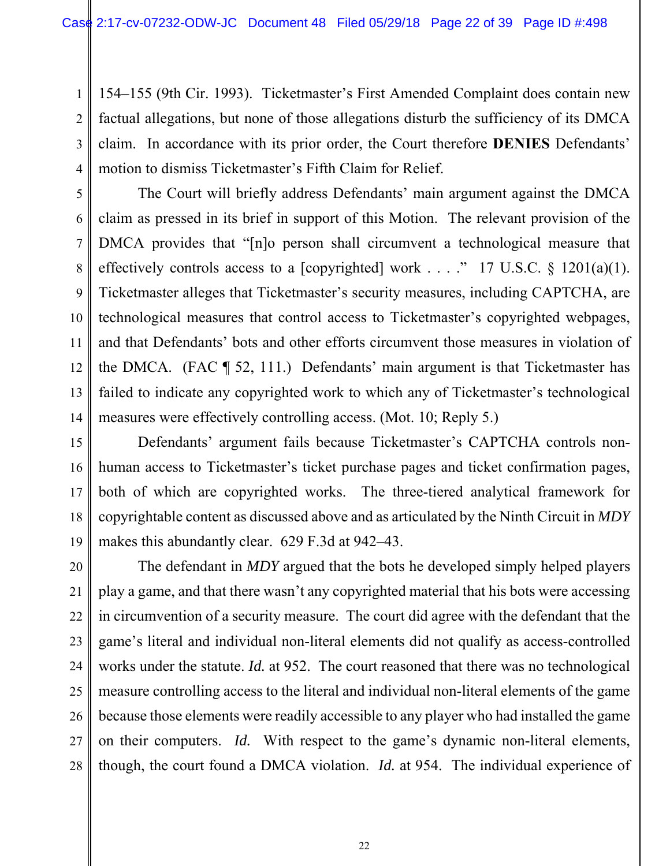1 2 3 4 154–155 (9th Cir. 1993). Ticketmaster's First Amended Complaint does contain new factual allegations, but none of those allegations disturb the sufficiency of its DMCA claim. In accordance with its prior order, the Court therefore **DENIES** Defendants' motion to dismiss Ticketmaster's Fifth Claim for Relief.

5 6 7 8 9 10 12 13 14 The Court will briefly address Defendants' main argument against the DMCA claim as pressed in its brief in support of this Motion. The relevant provision of the DMCA provides that "[n]o person shall circumvent a technological measure that effectively controls access to a [copyrighted] work . . . ." 17 U.S.C.  $\S$  1201(a)(1). Ticketmaster alleges that Ticketmaster's security measures, including CAPTCHA, are technological measures that control access to Ticketmaster's copyrighted webpages, and that Defendants' bots and other efforts circumvent those measures in violation of the DMCA. (FAC ¶ 52, 111.) Defendants' main argument is that Ticketmaster has failed to indicate any copyrighted work to which any of Ticketmaster's technological measures were effectively controlling access. (Mot. 10; Reply 5.)

11

15 16 17 18 19 Defendants' argument fails because Ticketmaster's CAPTCHA controls nonhuman access to Ticketmaster's ticket purchase pages and ticket confirmation pages, both of which are copyrighted works. The three-tiered analytical framework for copyrightable content as discussed above and as articulated by the Ninth Circuit in *MDY*  makes this abundantly clear. 629 F.3d at 942–43.

20 21 22 23 24 25 26 27 28 The defendant in *MDY* argued that the bots he developed simply helped players play a game, and that there wasn't any copyrighted material that his bots were accessing in circumvention of a security measure. The court did agree with the defendant that the game's literal and individual non-literal elements did not qualify as access-controlled works under the statute. *Id.* at 952. The court reasoned that there was no technological measure controlling access to the literal and individual non-literal elements of the game because those elements were readily accessible to any player who had installed the game on their computers. *Id.* With respect to the game's dynamic non-literal elements, though, the court found a DMCA violation. *Id.* at 954. The individual experience of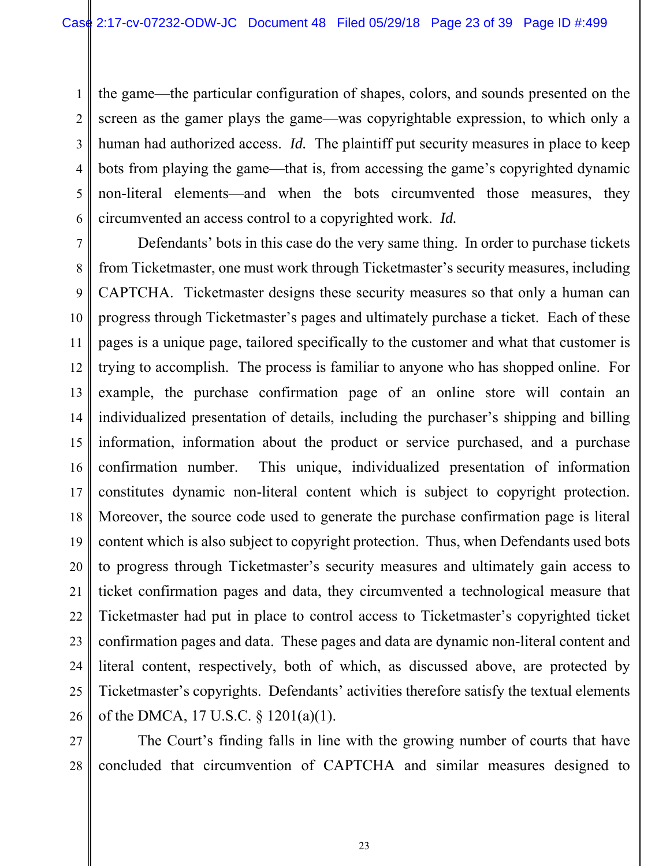1 2 3 4 5 6 the game—the particular configuration of shapes, colors, and sounds presented on the screen as the gamer plays the game—was copyrightable expression, to which only a human had authorized access. *Id.* The plaintiff put security measures in place to keep bots from playing the game—that is, from accessing the game's copyrighted dynamic non-literal elements—and when the bots circumvented those measures, they circumvented an access control to a copyrighted work. *Id.*

7 8 9 10 11 12 13 14 15 16 17 18 19 20 21 22 23 24 25 26 Defendants' bots in this case do the very same thing. In order to purchase tickets from Ticketmaster, one must work through Ticketmaster's security measures, including CAPTCHA. Ticketmaster designs these security measures so that only a human can progress through Ticketmaster's pages and ultimately purchase a ticket. Each of these pages is a unique page, tailored specifically to the customer and what that customer is trying to accomplish. The process is familiar to anyone who has shopped online. For example, the purchase confirmation page of an online store will contain an individualized presentation of details, including the purchaser's shipping and billing information, information about the product or service purchased, and a purchase confirmation number. This unique, individualized presentation of information constitutes dynamic non-literal content which is subject to copyright protection. Moreover, the source code used to generate the purchase confirmation page is literal content which is also subject to copyright protection. Thus, when Defendants used bots to progress through Ticketmaster's security measures and ultimately gain access to ticket confirmation pages and data, they circumvented a technological measure that Ticketmaster had put in place to control access to Ticketmaster's copyrighted ticket confirmation pages and data. These pages and data are dynamic non-literal content and literal content, respectively, both of which, as discussed above, are protected by Ticketmaster's copyrights. Defendants' activities therefore satisfy the textual elements of the DMCA, 17 U.S.C. § 1201(a)(1).

27 28 The Court's finding falls in line with the growing number of courts that have concluded that circumvention of CAPTCHA and similar measures designed to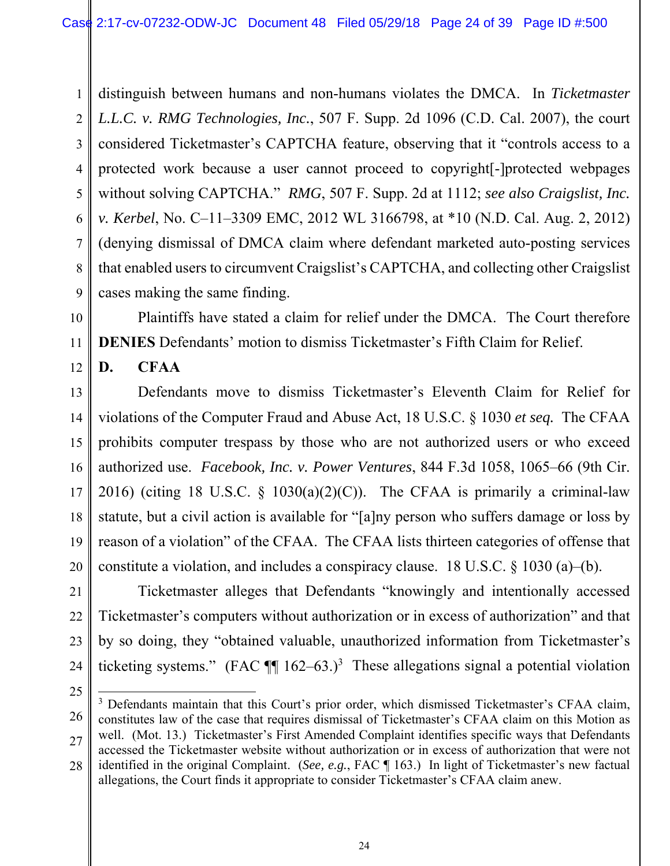1 2 3 4 5 6 7 8 9 distinguish between humans and non-humans violates the DMCA. In *Ticketmaster L.L.C. v. RMG Technologies, Inc.*, 507 F. Supp. 2d 1096 (C.D. Cal. 2007), the court considered Ticketmaster's CAPTCHA feature, observing that it "controls access to a protected work because a user cannot proceed to copyright[-]protected webpages without solving CAPTCHA." *RMG*, 507 F. Supp. 2d at 1112; *see also Craigslist, Inc. v. Kerbel*, No. C–11–3309 EMC, 2012 WL 3166798, at \*10 (N.D. Cal. Aug. 2, 2012) (denying dismissal of DMCA claim where defendant marketed auto-posting services that enabled users to circumvent Craigslist's CAPTCHA, and collecting other Craigslist cases making the same finding.



11

12

Plaintiffs have stated a claim for relief under the DMCA. The Court therefore **DENIES** Defendants' motion to dismiss Ticketmaster's Fifth Claim for Relief.

**D. CFAA** 

13 14 15 16 17 18 19 20 Defendants move to dismiss Ticketmaster's Eleventh Claim for Relief for violations of the Computer Fraud and Abuse Act, 18 U.S.C. § 1030 *et seq.* The CFAA prohibits computer trespass by those who are not authorized users or who exceed authorized use. *Facebook, Inc. v. Power Ventures*, 844 F.3d 1058, 1065–66 (9th Cir. 2016) (citing 18 U.S.C.  $\S$  1030(a)(2)(C)). The CFAA is primarily a criminal-law statute, but a civil action is available for "[a]ny person who suffers damage or loss by reason of a violation" of the CFAA. The CFAA lists thirteen categories of offense that constitute a violation, and includes a conspiracy clause. 18 U.S.C. § 1030 (a)–(b).

21 22 23 24 Ticketmaster alleges that Defendants "knowingly and intentionally accessed Ticketmaster's computers without authorization or in excess of authorization" and that by so doing, they "obtained valuable, unauthorized information from Ticketmaster's ticketing systems." (FAC  $\P$  162–63.)<sup>3</sup> These allegations signal a potential violation

<sup>25</sup> 26 27 28  $\overline{a}$ <sup>3</sup> Defendants maintain that this Court's prior order, which dismissed Ticketmaster's CFAA claim, constitutes law of the case that requires dismissal of Ticketmaster's CFAA claim on this Motion as well. (Mot. 13.) Ticketmaster's First Amended Complaint identifies specific ways that Defendants accessed the Ticketmaster website without authorization or in excess of authorization that were not identified in the original Complaint. (*See, e.g.*, FAC ¶ 163.) In light of Ticketmaster's new factual allegations, the Court finds it appropriate to consider Ticketmaster's CFAA claim anew.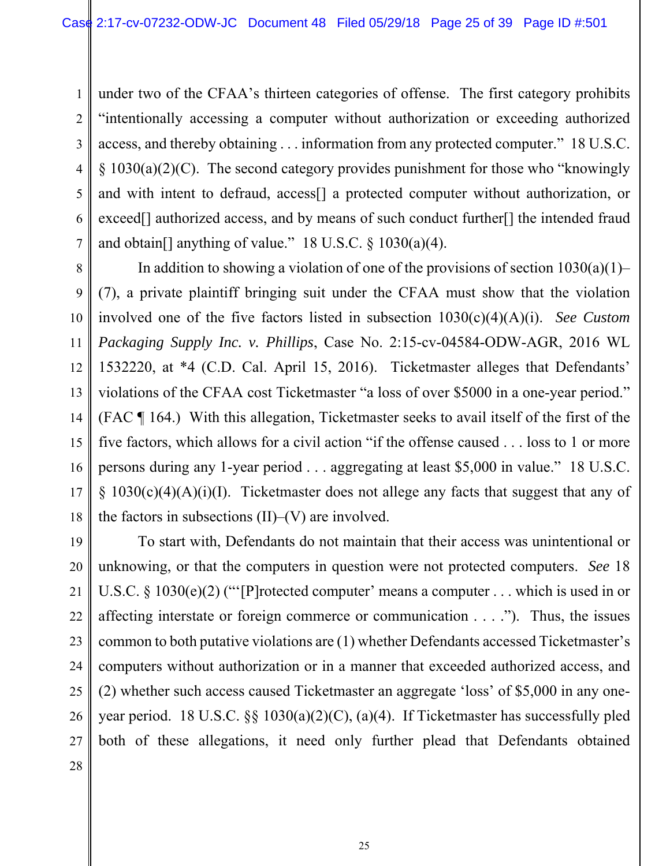1 2 3 4 5 6 7 under two of the CFAA's thirteen categories of offense. The first category prohibits "intentionally accessing a computer without authorization or exceeding authorized access, and thereby obtaining . . . information from any protected computer." 18 U.S.C.  $\S$  1030(a)(2)(C). The second category provides punishment for those who "knowingly and with intent to defraud, access[] a protected computer without authorization, or exceed<sup>[]</sup> authorized access, and by means of such conduct further<sup>[]</sup> the intended fraud and obtain<sup>[]</sup> anything of value." 18 U.S.C.  $\S$  1030(a)(4).

8 9 10 11 12 13 14 15 16 17 18 In addition to showing a violation of one of the provisions of section  $1030(a)(1)$ – (7), a private plaintiff bringing suit under the CFAA must show that the violation involved one of the five factors listed in subsection 1030(c)(4)(A)(i). *See Custom Packaging Supply Inc. v. Phillips*, Case No. 2:15-cv-04584-ODW-AGR, 2016 WL 1532220, at \*4 (C.D. Cal. April 15, 2016). Ticketmaster alleges that Defendants' violations of the CFAA cost Ticketmaster "a loss of over \$5000 in a one-year period." (FAC ¶ 164.) With this allegation, Ticketmaster seeks to avail itself of the first of the five factors, which allows for a civil action "if the offense caused . . . loss to 1 or more persons during any 1-year period . . . aggregating at least \$5,000 in value." 18 U.S.C.  $\{1030(c)(4)(A)(i)(I)$ . Ticketmaster does not allege any facts that suggest that any of the factors in subsections  $(II)$ – $(V)$  are involved.

19 20 21 22 23 24 25 26 27 To start with, Defendants do not maintain that their access was unintentional or unknowing, or that the computers in question were not protected computers. *See* 18 U.S.C. § 1030(e)(2) ("'[P]rotected computer' means a computer . . . which is used in or affecting interstate or foreign commerce or communication . . . ."). Thus, the issues common to both putative violations are (1) whether Defendants accessed Ticketmaster's computers without authorization or in a manner that exceeded authorized access, and (2) whether such access caused Ticketmaster an aggregate 'loss' of \$5,000 in any oneyear period. 18 U.S.C. §§ 1030(a)(2)(C), (a)(4). If Ticketmaster has successfully pled both of these allegations, it need only further plead that Defendants obtained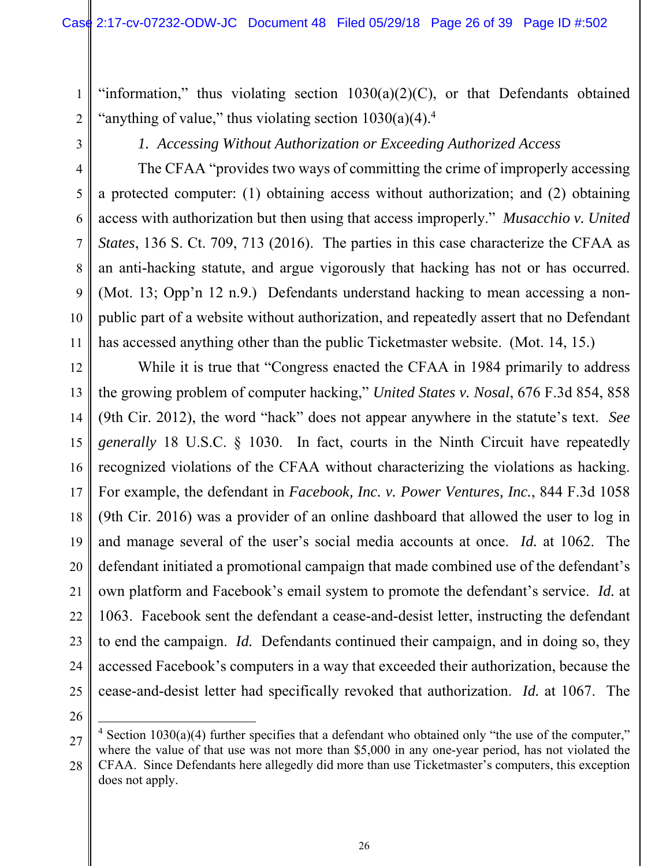"information," thus violating section  $1030(a)(2)(C)$ , or that Defendants obtained "anything of value," thus violating section  $1030(a)(4)$ .<sup>4</sup>

3

4

5

6

7

8

9

10

11

1

2

*1. Accessing Without Authorization or Exceeding Authorized Access* 

The CFAA "provides two ways of committing the crime of improperly accessing a protected computer: (1) obtaining access without authorization; and (2) obtaining access with authorization but then using that access improperly." *Musacchio v. United States*, 136 S. Ct. 709, 713 (2016). The parties in this case characterize the CFAA as an anti-hacking statute, and argue vigorously that hacking has not or has occurred. (Mot. 13; Opp'n 12 n.9.) Defendants understand hacking to mean accessing a nonpublic part of a website without authorization, and repeatedly assert that no Defendant has accessed anything other than the public Ticketmaster website. (Mot. 14, 15.)

12 13 14 15 16 17 18 19 20 21 22 23 24 25 While it is true that "Congress enacted the CFAA in 1984 primarily to address the growing problem of computer hacking," *United States v. Nosal*, 676 F.3d 854, 858 (9th Cir. 2012), the word "hack" does not appear anywhere in the statute's text. *See generally* 18 U.S.C. § 1030. In fact, courts in the Ninth Circuit have repeatedly recognized violations of the CFAA without characterizing the violations as hacking. For example, the defendant in *Facebook, Inc. v. Power Ventures, Inc.*, 844 F.3d 1058 (9th Cir. 2016) was a provider of an online dashboard that allowed the user to log in and manage several of the user's social media accounts at once. *Id.* at 1062. The defendant initiated a promotional campaign that made combined use of the defendant's own platform and Facebook's email system to promote the defendant's service. *Id.* at 1063. Facebook sent the defendant a cease-and-desist letter, instructing the defendant to end the campaign. *Id.* Defendants continued their campaign, and in doing so, they accessed Facebook's computers in a way that exceeded their authorization, because the cease-and-desist letter had specifically revoked that authorization. *Id.* at 1067. The

26

 $\overline{a}$ 

<sup>27</sup> <sup>4</sup> Section 1030(a)(4) further specifies that a defendant who obtained only "the use of the computer," where the value of that use was not more than \$5,000 in any one-year period, has not violated the

<sup>28</sup> CFAA. Since Defendants here allegedly did more than use Ticketmaster's computers, this exception does not apply.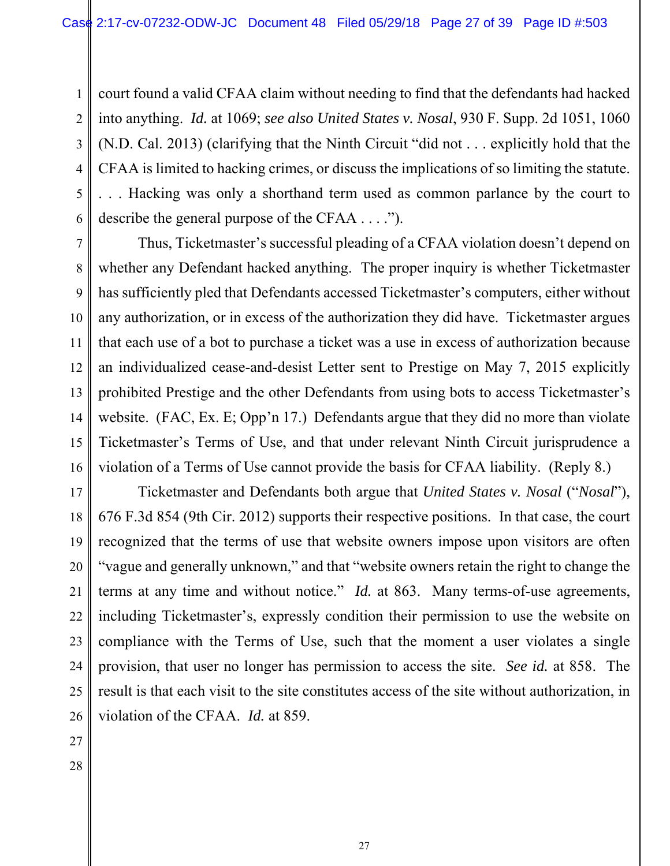1 2 3 4 5 6 court found a valid CFAA claim without needing to find that the defendants had hacked into anything. *Id.* at 1069; *see also United States v. Nosal*, 930 F. Supp. 2d 1051, 1060 (N.D. Cal. 2013) (clarifying that the Ninth Circuit "did not . . . explicitly hold that the CFAA is limited to hacking crimes, or discuss the implications of so limiting the statute. . . . Hacking was only a shorthand term used as common parlance by the court to describe the general purpose of the CFAA . . . .").

7 8 9 10 11 12 13 14 15 16 Thus, Ticketmaster's successful pleading of a CFAA violation doesn't depend on whether any Defendant hacked anything. The proper inquiry is whether Ticketmaster has sufficiently pled that Defendants accessed Ticketmaster's computers, either without any authorization, or in excess of the authorization they did have. Ticketmaster argues that each use of a bot to purchase a ticket was a use in excess of authorization because an individualized cease-and-desist Letter sent to Prestige on May 7, 2015 explicitly prohibited Prestige and the other Defendants from using bots to access Ticketmaster's website. (FAC, Ex. E; Opp'n 17.) Defendants argue that they did no more than violate Ticketmaster's Terms of Use, and that under relevant Ninth Circuit jurisprudence a violation of a Terms of Use cannot provide the basis for CFAA liability. (Reply 8.)

17 18 19 20 21 22 23 24 25 26 Ticketmaster and Defendants both argue that *United States v. Nosal* ("*Nosal*"), 676 F.3d 854 (9th Cir. 2012) supports their respective positions. In that case, the court recognized that the terms of use that website owners impose upon visitors are often "vague and generally unknown," and that "website owners retain the right to change the terms at any time and without notice." *Id.* at 863. Many terms-of-use agreements, including Ticketmaster's, expressly condition their permission to use the website on compliance with the Terms of Use, such that the moment a user violates a single provision, that user no longer has permission to access the site. *See id.* at 858. The result is that each visit to the site constitutes access of the site without authorization, in violation of the CFAA. *Id.* at 859.

- 27
- 28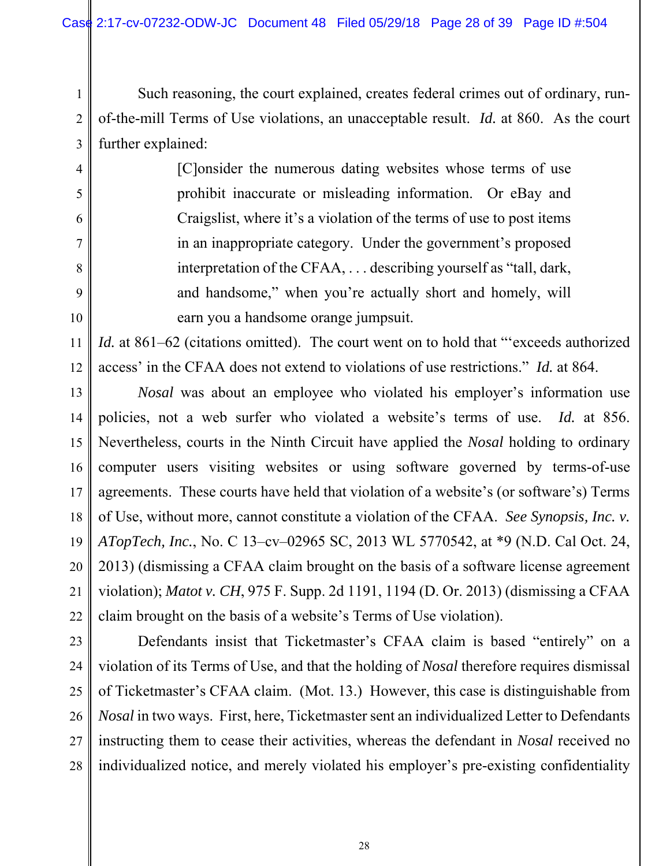4

5

6

7

8

9

10

1 2 3 Such reasoning, the court explained, creates federal crimes out of ordinary, runof-the-mill Terms of Use violations, an unacceptable result. *Id.* at 860. As the court further explained:

> [C]onsider the numerous dating websites whose terms of use prohibit inaccurate or misleading information. Or eBay and Craigslist, where it's a violation of the terms of use to post items in an inappropriate category. Under the government's proposed interpretation of the CFAA, . . . describing yourself as "tall, dark, and handsome," when you're actually short and homely, will earn you a handsome orange jumpsuit.

11 12 *Id.* at 861–62 (citations omitted). The court went on to hold that "exceeds authorized access' in the CFAA does not extend to violations of use restrictions." *Id.* at 864.

13 14 15 16 17 18 19 20 21 22 *Nosal* was about an employee who violated his employer's information use policies, not a web surfer who violated a website's terms of use. *Id.* at 856. Nevertheless, courts in the Ninth Circuit have applied the *Nosal* holding to ordinary computer users visiting websites or using software governed by terms-of-use agreements. These courts have held that violation of a website's (or software's) Terms of Use, without more, cannot constitute a violation of the CFAA. *See Synopsis, Inc. v. ATopTech, Inc.*, No. C 13–cv–02965 SC, 2013 WL 5770542, at \*9 (N.D. Cal Oct. 24, 2013) (dismissing a CFAA claim brought on the basis of a software license agreement violation); *Matot v. CH*, 975 F. Supp. 2d 1191, 1194 (D. Or. 2013) (dismissing a CFAA claim brought on the basis of a website's Terms of Use violation).

23 24 25 26 27 28 Defendants insist that Ticketmaster's CFAA claim is based "entirely" on a violation of its Terms of Use, and that the holding of *Nosal* therefore requires dismissal of Ticketmaster's CFAA claim. (Mot. 13.) However, this case is distinguishable from *Nosal* in two ways. First, here, Ticketmaster sent an individualized Letter to Defendants instructing them to cease their activities, whereas the defendant in *Nosal* received no individualized notice, and merely violated his employer's pre-existing confidentiality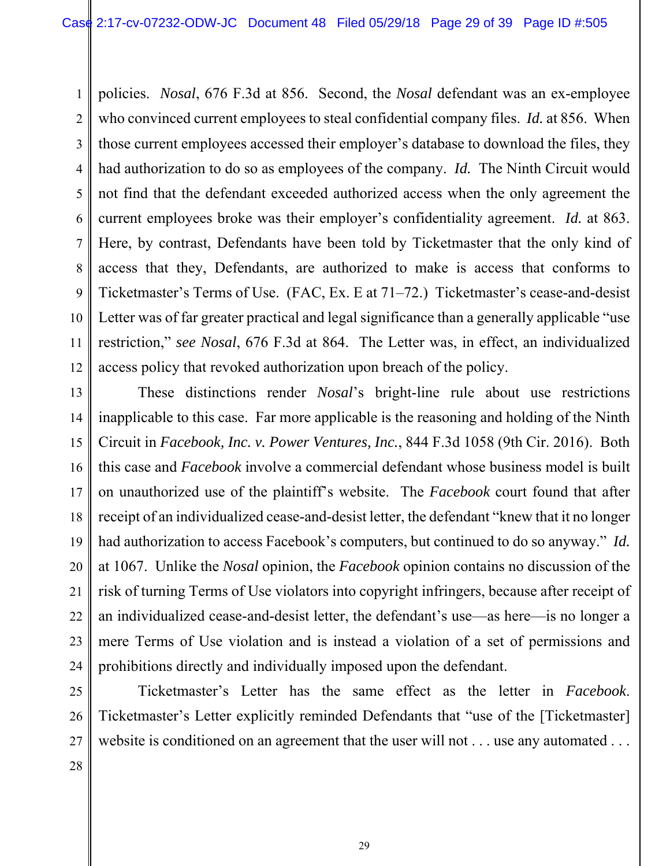1 2 3 4 5 6 7 8 9 10 11 12 policies. *Nosal*, 676 F.3d at 856. Second, the *Nosal* defendant was an ex-employee who convinced current employees to steal confidential company files. *Id.* at 856. When those current employees accessed their employer's database to download the files, they had authorization to do so as employees of the company. *Id.* The Ninth Circuit would not find that the defendant exceeded authorized access when the only agreement the current employees broke was their employer's confidentiality agreement. *Id.* at 863. Here, by contrast, Defendants have been told by Ticketmaster that the only kind of access that they, Defendants, are authorized to make is access that conforms to Ticketmaster's Terms of Use. (FAC, Ex. E at 71–72.) Ticketmaster's cease-and-desist Letter was of far greater practical and legal significance than a generally applicable "use restriction," *see Nosal*, 676 F.3d at 864. The Letter was, in effect, an individualized access policy that revoked authorization upon breach of the policy.

13 14 15 16 17 18 19 20 21 22 23 24 These distinctions render *Nosal*'s bright-line rule about use restrictions inapplicable to this case. Far more applicable is the reasoning and holding of the Ninth Circuit in *Facebook, Inc. v. Power Ventures, Inc.*, 844 F.3d 1058 (9th Cir. 2016). Both this case and *Facebook* involve a commercial defendant whose business model is built on unauthorized use of the plaintiff's website. The *Facebook* court found that after receipt of an individualized cease-and-desist letter, the defendant "knew that it no longer had authorization to access Facebook's computers, but continued to do so anyway." *Id.* at 1067. Unlike the *Nosal* opinion, the *Facebook* opinion contains no discussion of the risk of turning Terms of Use violators into copyright infringers, because after receipt of an individualized cease-and-desist letter, the defendant's use—as here—is no longer a mere Terms of Use violation and is instead a violation of a set of permissions and prohibitions directly and individually imposed upon the defendant.

25 26 27 Ticketmaster's Letter has the same effect as the letter in *Facebook*. Ticketmaster's Letter explicitly reminded Defendants that "use of the [Ticketmaster] website is conditioned on an agreement that the user will not . . . use any automated . . .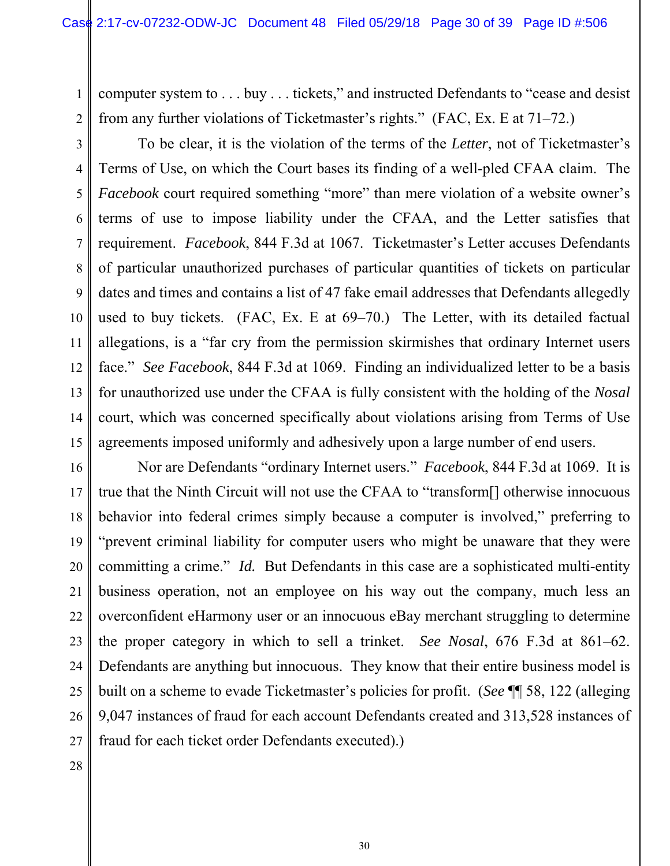computer system to . . . buy . . . tickets," and instructed Defendants to "cease and desist from any further violations of Ticketmaster's rights." (FAC, Ex. E at 71–72.)

2 3

1

4 5 6 7 8 9 10 11 12 13 14 15 To be clear, it is the violation of the terms of the *Letter*, not of Ticketmaster's Terms of Use, on which the Court bases its finding of a well-pled CFAA claim. The *Facebook* court required something "more" than mere violation of a website owner's terms of use to impose liability under the CFAA, and the Letter satisfies that requirement. *Facebook*, 844 F.3d at 1067. Ticketmaster's Letter accuses Defendants of particular unauthorized purchases of particular quantities of tickets on particular dates and times and contains a list of 47 fake email addresses that Defendants allegedly used to buy tickets. (FAC, Ex. E at 69–70.) The Letter, with its detailed factual allegations, is a "far cry from the permission skirmishes that ordinary Internet users face." *See Facebook*, 844 F.3d at 1069. Finding an individualized letter to be a basis for unauthorized use under the CFAA is fully consistent with the holding of the *Nosal* court, which was concerned specifically about violations arising from Terms of Use agreements imposed uniformly and adhesively upon a large number of end users.

16 17 18 19 20 21 22 23 24 25 26 27 Nor are Defendants "ordinary Internet users." *Facebook*, 844 F.3d at 1069. It is true that the Ninth Circuit will not use the CFAA to "transform[] otherwise innocuous behavior into federal crimes simply because a computer is involved," preferring to "prevent criminal liability for computer users who might be unaware that they were committing a crime." *Id.* But Defendants in this case are a sophisticated multi-entity business operation, not an employee on his way out the company, much less an overconfident eHarmony user or an innocuous eBay merchant struggling to determine the proper category in which to sell a trinket. *See Nosal*, 676 F.3d at 861–62. Defendants are anything but innocuous. They know that their entire business model is built on a scheme to evade Ticketmaster's policies for profit. (*See* ¶¶ 58, 122 (alleging 9,047 instances of fraud for each account Defendants created and 313,528 instances of fraud for each ticket order Defendants executed).)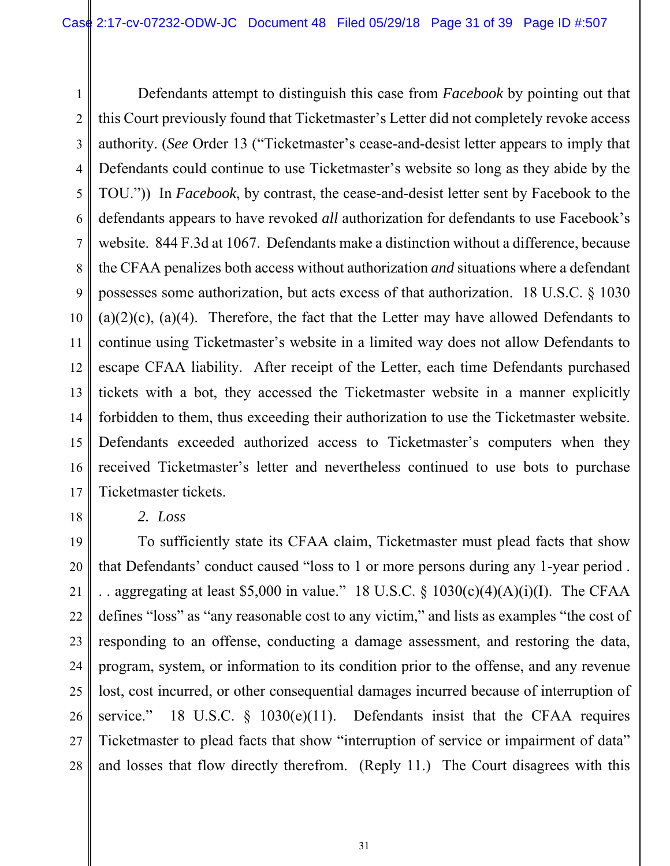1 2 3 4 5 6 7 8 9 10 11 12 13 14 15 16 17 Defendants attempt to distinguish this case from *Facebook* by pointing out that this Court previously found that Ticketmaster's Letter did not completely revoke access authority. (*See* Order 13 ("Ticketmaster's cease-and-desist letter appears to imply that Defendants could continue to use Ticketmaster's website so long as they abide by the TOU.")) In *Facebook*, by contrast, the cease-and-desist letter sent by Facebook to the defendants appears to have revoked *all* authorization for defendants to use Facebook's website. 844 F.3d at 1067. Defendants make a distinction without a difference, because the CFAA penalizes both access without authorization *and* situations where a defendant possesses some authorization, but acts excess of that authorization. 18 U.S.C. § 1030  $(a)(2)(c)$ ,  $(a)(4)$ . Therefore, the fact that the Letter may have allowed Defendants to continue using Ticketmaster's website in a limited way does not allow Defendants to escape CFAA liability. After receipt of the Letter, each time Defendants purchased tickets with a bot, they accessed the Ticketmaster website in a manner explicitly forbidden to them, thus exceeding their authorization to use the Ticketmaster website. Defendants exceeded authorized access to Ticketmaster's computers when they received Ticketmaster's letter and nevertheless continued to use bots to purchase Ticketmaster tickets.

18

### *2. Loss*

19 20 21 22 23 24 25 26 27 28 To sufficiently state its CFAA claim, Ticketmaster must plead facts that show that Defendants' conduct caused "loss to 1 or more persons during any 1-year period . . . aggregating at least \$5,000 in value." 18 U.S.C. §  $1030(c)(4)(A)(i)(I)$ . The CFAA defines "loss" as "any reasonable cost to any victim," and lists as examples "the cost of responding to an offense, conducting a damage assessment, and restoring the data, program, system, or information to its condition prior to the offense, and any revenue lost, cost incurred, or other consequential damages incurred because of interruption of service." 18 U.S.C.  $\frac{1030(e)}{11}$ . Defendants insist that the CFAA requires Ticketmaster to plead facts that show "interruption of service or impairment of data" and losses that flow directly therefrom. (Reply 11.) The Court disagrees with this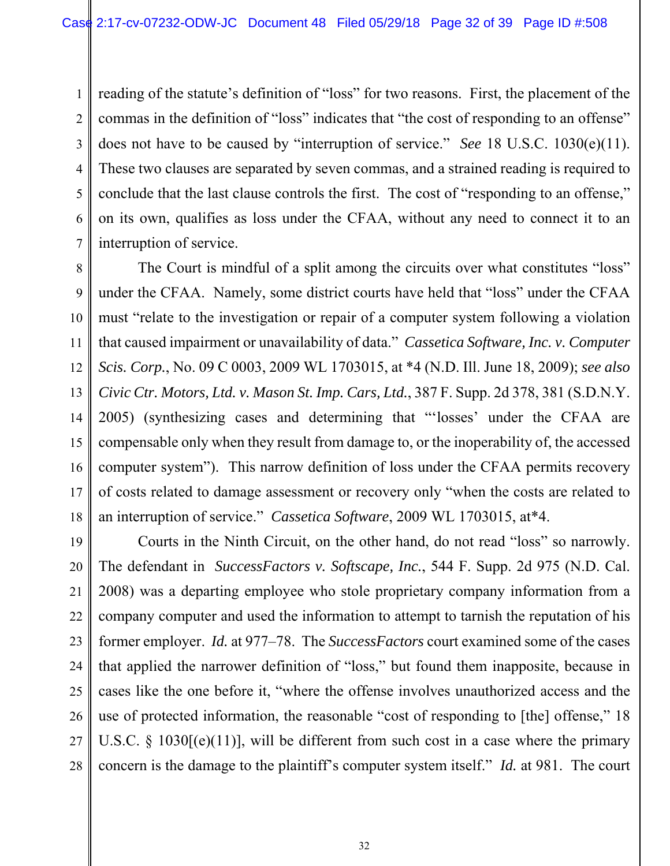1 2 3 4 5 6 7 reading of the statute's definition of "loss" for two reasons. First, the placement of the commas in the definition of "loss" indicates that "the cost of responding to an offense" does not have to be caused by "interruption of service." *See* 18 U.S.C. 1030(e)(11). These two clauses are separated by seven commas, and a strained reading is required to conclude that the last clause controls the first. The cost of "responding to an offense," on its own, qualifies as loss under the CFAA, without any need to connect it to an interruption of service.

8 9 10 11 12 13 14 15 16 17 18 The Court is mindful of a split among the circuits over what constitutes "loss" under the CFAA. Namely, some district courts have held that "loss" under the CFAA must "relate to the investigation or repair of a computer system following a violation that caused impairment or unavailability of data." *Cassetica Software, Inc. v. Computer Scis. Corp.*, No. 09 C 0003, 2009 WL 1703015, at \*4 (N.D. Ill. June 18, 2009); *see also Civic Ctr. Motors, Ltd. v. Mason St. Imp. Cars, Ltd.*, 387 F. Supp. 2d 378, 381 (S.D.N.Y. 2005) (synthesizing cases and determining that "'losses' under the CFAA are compensable only when they result from damage to, or the inoperability of, the accessed computer system"). This narrow definition of loss under the CFAA permits recovery of costs related to damage assessment or recovery only "when the costs are related to an interruption of service." *Cassetica Software*, 2009 WL 1703015, at\*4.

19 20 21 22 23 24 25 26 27 28 Courts in the Ninth Circuit, on the other hand, do not read "loss" so narrowly. The defendant in *SuccessFactors v. Softscape, Inc.*, 544 F. Supp. 2d 975 (N.D. Cal. 2008) was a departing employee who stole proprietary company information from a company computer and used the information to attempt to tarnish the reputation of his former employer. *Id.* at 977–78. The *SuccessFactors* court examined some of the cases that applied the narrower definition of "loss," but found them inapposite, because in cases like the one before it, "where the offense involves unauthorized access and the use of protected information, the reasonable "cost of responding to [the] offense," 18 U.S.C. § 1030 $[(e)(11)]$ , will be different from such cost in a case where the primary concern is the damage to the plaintiff's computer system itself." *Id.* at 981. The court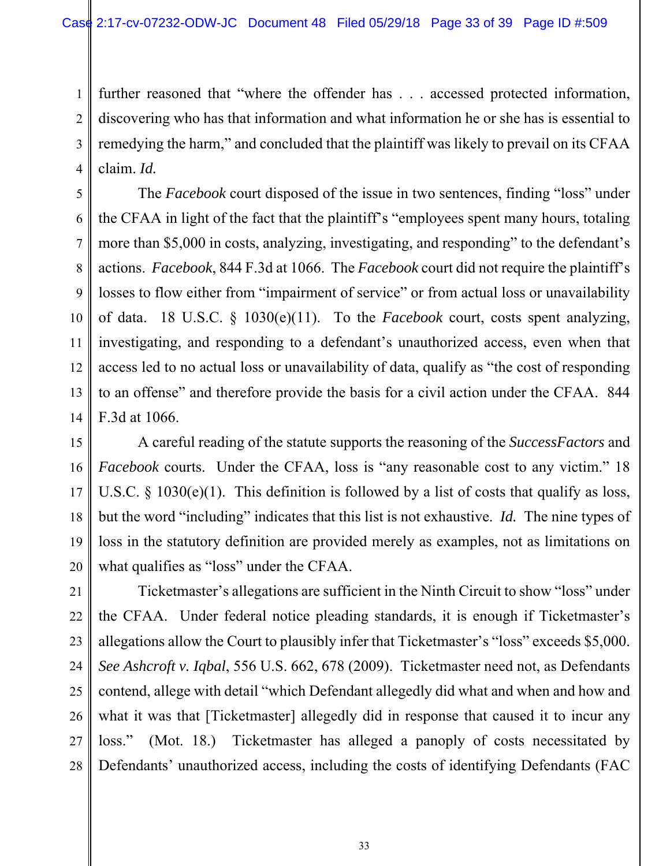1 2 3 4 further reasoned that "where the offender has . . . accessed protected information, discovering who has that information and what information he or she has is essential to remedying the harm," and concluded that the plaintiff was likely to prevail on its CFAA claim. *Id.* 

5 6 7 8 9 10 11 12 13 14 The *Facebook* court disposed of the issue in two sentences, finding "loss" under the CFAA in light of the fact that the plaintiff's "employees spent many hours, totaling more than \$5,000 in costs, analyzing, investigating, and responding" to the defendant's actions. *Facebook*, 844 F.3d at 1066.The *Facebook* court did not require the plaintiff's losses to flow either from "impairment of service" or from actual loss or unavailability of data. 18 U.S.C. § 1030(e)(11). To the *Facebook* court, costs spent analyzing, investigating, and responding to a defendant's unauthorized access, even when that access led to no actual loss or unavailability of data, qualify as "the cost of responding to an offense" and therefore provide the basis for a civil action under the CFAA. 844 F.3d at 1066.

15 16 17 18 19 20 A careful reading of the statute supports the reasoning of the *SuccessFactors* and *Facebook* courts. Under the CFAA, loss is "any reasonable cost to any victim." 18 U.S.C.  $\S$  1030(e)(1). This definition is followed by a list of costs that qualify as loss, but the word "including" indicates that this list is not exhaustive. *Id.* The nine types of loss in the statutory definition are provided merely as examples, not as limitations on what qualifies as "loss" under the CFAA.

21 22 23 24 25 26 27 28 Ticketmaster's allegations are sufficient in the Ninth Circuit to show "loss" under the CFAA. Under federal notice pleading standards, it is enough if Ticketmaster's allegations allow the Court to plausibly infer that Ticketmaster's "loss" exceeds \$5,000. *See Ashcroft v. Iqbal*, 556 U.S. 662, 678 (2009). Ticketmaster need not, as Defendants contend, allege with detail "which Defendant allegedly did what and when and how and what it was that [Ticketmaster] allegedly did in response that caused it to incur any loss." (Mot. 18.) Ticketmaster has alleged a panoply of costs necessitated by Defendants' unauthorized access, including the costs of identifying Defendants (FAC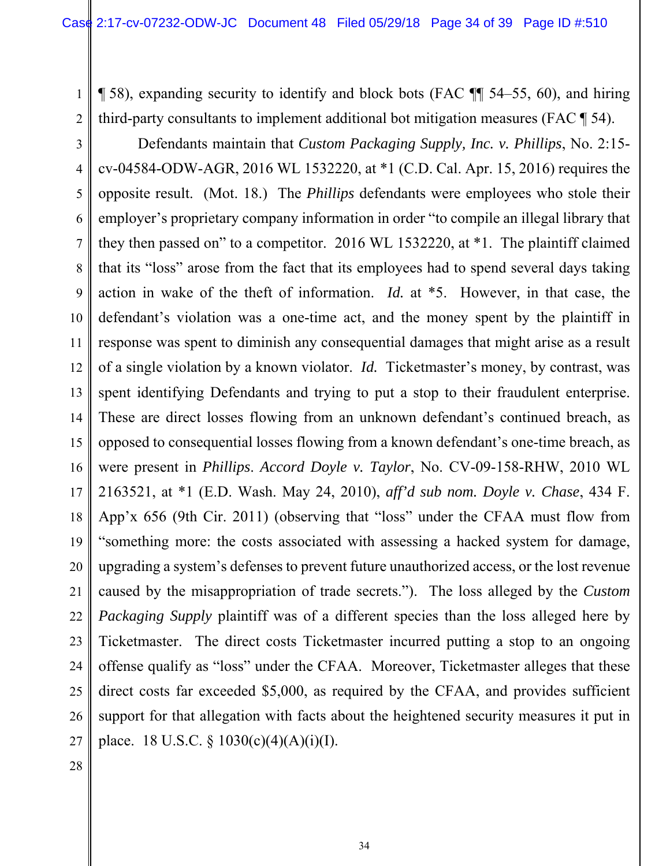1 ¶ 58), expanding security to identify and block bots (FAC ¶¶ 54–55, 60), and hiring third-party consultants to implement additional bot mitigation measures (FAC ¶ 54).

2 3

4 5 6 7 8 9 10 11 12 13 14 15 16 17 18 19 20 21 22 23 24 25 26 27 Defendants maintain that *Custom Packaging Supply, Inc. v. Phillips*, No. 2:15 cv-04584-ODW-AGR, 2016 WL 1532220, at \*1 (C.D. Cal. Apr. 15, 2016) requires the opposite result. (Mot. 18.) The *Phillips* defendants were employees who stole their employer's proprietary company information in order "to compile an illegal library that they then passed on" to a competitor. 2016 WL 1532220, at \*1. The plaintiff claimed that its "loss" arose from the fact that its employees had to spend several days taking action in wake of the theft of information. *Id.* at \*5. However, in that case, the defendant's violation was a one-time act, and the money spent by the plaintiff in response was spent to diminish any consequential damages that might arise as a result of a single violation by a known violator. *Id.* Ticketmaster's money, by contrast, was spent identifying Defendants and trying to put a stop to their fraudulent enterprise. These are direct losses flowing from an unknown defendant's continued breach, as opposed to consequential losses flowing from a known defendant's one-time breach, as were present in *Phillips*. *Accord Doyle v. Taylor*, No. CV-09-158-RHW, 2010 WL 2163521, at \*1 (E.D. Wash. May 24, 2010), *aff'd sub nom. Doyle v. Chase*, 434 F. App'x 656 (9th Cir. 2011) (observing that "loss" under the CFAA must flow from "something more: the costs associated with assessing a hacked system for damage, upgrading a system's defenses to prevent future unauthorized access, or the lost revenue caused by the misappropriation of trade secrets."). The loss alleged by the *Custom Packaging Supply* plaintiff was of a different species than the loss alleged here by Ticketmaster. The direct costs Ticketmaster incurred putting a stop to an ongoing offense qualify as "loss" under the CFAA. Moreover, Ticketmaster alleges that these direct costs far exceeded \$5,000, as required by the CFAA, and provides sufficient support for that allegation with facts about the heightened security measures it put in place. 18 U.S.C.  $\S$  1030(c)(4)(A)(i)(I).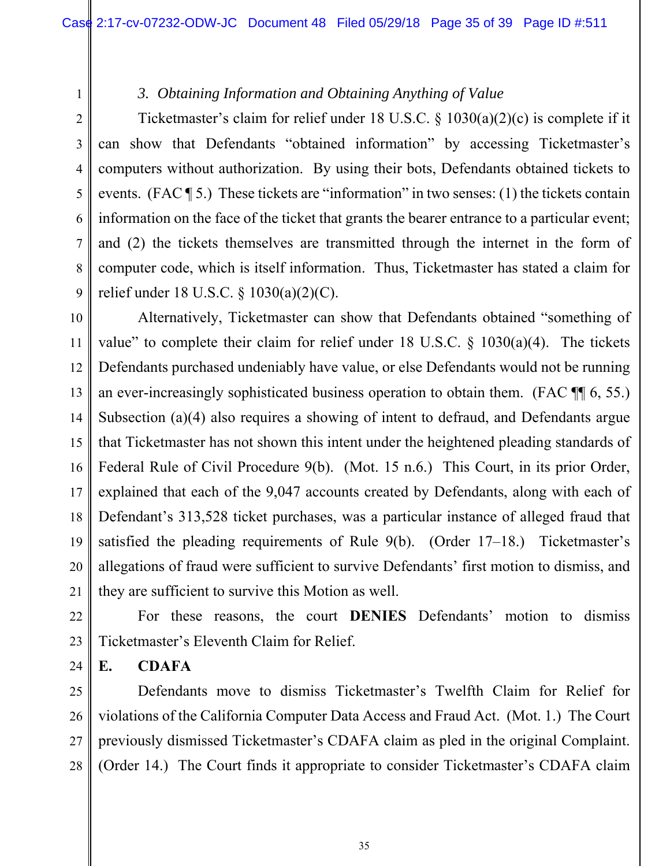## *3. Obtaining Information and Obtaining Anything of Value*

2 3 4 5 6 7 9 Ticketmaster's claim for relief under 18 U.S.C. § 1030(a)(2)(c) is complete if it can show that Defendants "obtained information" by accessing Ticketmaster's computers without authorization. By using their bots, Defendants obtained tickets to events. (FAC ¶ 5.) These tickets are "information" in two senses: (1) the tickets contain information on the face of the ticket that grants the bearer entrance to a particular event; and (2) the tickets themselves are transmitted through the internet in the form of computer code, which is itself information. Thus, Ticketmaster has stated a claim for relief under 18 U.S.C. § 1030(a)(2)(C).

10 11 12 13 14 15 16 17 18 19 20 21 Alternatively, Ticketmaster can show that Defendants obtained "something of value" to complete their claim for relief under 18 U.S.C.  $\S$  1030(a)(4). The tickets Defendants purchased undeniably have value, or else Defendants would not be running an ever-increasingly sophisticated business operation to obtain them. (FAC ¶¶ 6, 55.) Subsection (a)(4) also requires a showing of intent to defraud, and Defendants argue that Ticketmaster has not shown this intent under the heightened pleading standards of Federal Rule of Civil Procedure 9(b). (Mot. 15 n.6.) This Court, in its prior Order, explained that each of the 9,047 accounts created by Defendants, along with each of Defendant's 313,528 ticket purchases, was a particular instance of alleged fraud that satisfied the pleading requirements of Rule 9(b). (Order 17–18.) Ticketmaster's allegations of fraud were sufficient to survive Defendants' first motion to dismiss, and they are sufficient to survive this Motion as well.

22 23 For these reasons, the court **DENIES** Defendants' motion to dismiss Ticketmaster's Eleventh Claim for Relief.

**E. CDAFA** 

24

1

8

25 26 27 28 Defendants move to dismiss Ticketmaster's Twelfth Claim for Relief for violations of the California Computer Data Access and Fraud Act. (Mot. 1.) The Court previously dismissed Ticketmaster's CDAFA claim as pled in the original Complaint. (Order 14.) The Court finds it appropriate to consider Ticketmaster's CDAFA claim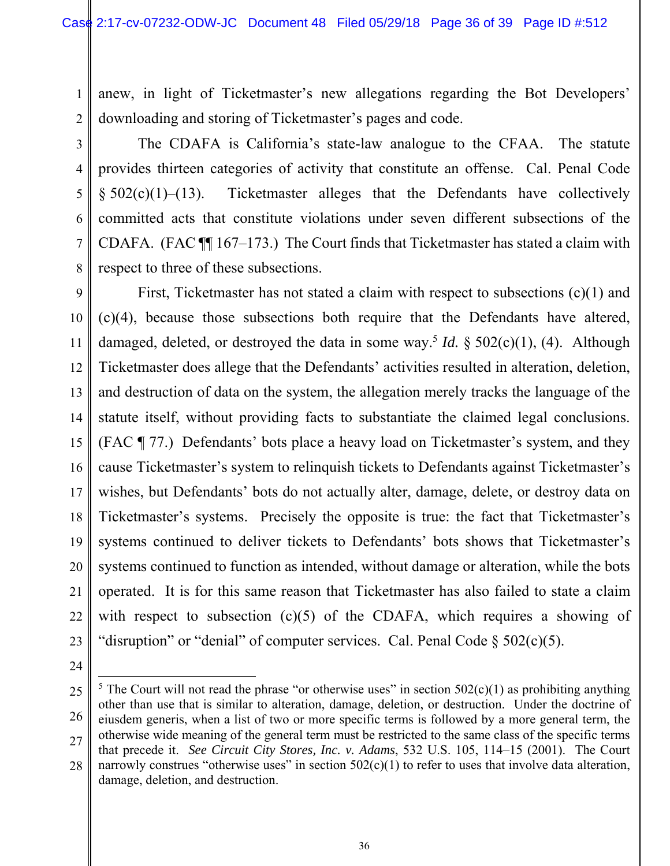anew, in light of Ticketmaster's new allegations regarding the Bot Developers' downloading and storing of Ticketmaster's pages and code.

3

1

2

4

5

6

7

8

The CDAFA is California's state-law analogue to the CFAA. The statute provides thirteen categories of activity that constitute an offense. Cal. Penal Code  $§ 502(c)(1)–(13)$ . Ticketmaster alleges that the Defendants have collectively committed acts that constitute violations under seven different subsections of the CDAFA. (FAC ¶¶ 167–173.) The Court finds that Ticketmaster has stated a claim with respect to three of these subsections.

9 10 11 12 13 14 15 16 17 18 19 20 21 22 23 First, Ticketmaster has not stated a claim with respect to subsections (c)(1) and (c)(4), because those subsections both require that the Defendants have altered, damaged, deleted, or destroyed the data in some way.<sup>5</sup> *Id.* § 502(c)(1), (4). Although Ticketmaster does allege that the Defendants' activities resulted in alteration, deletion, and destruction of data on the system, the allegation merely tracks the language of the statute itself, without providing facts to substantiate the claimed legal conclusions. (FAC ¶ 77.) Defendants' bots place a heavy load on Ticketmaster's system, and they cause Ticketmaster's system to relinquish tickets to Defendants against Ticketmaster's wishes, but Defendants' bots do not actually alter, damage, delete, or destroy data on Ticketmaster's systems. Precisely the opposite is true: the fact that Ticketmaster's systems continued to deliver tickets to Defendants' bots shows that Ticketmaster's systems continued to function as intended, without damage or alteration, while the bots operated. It is for this same reason that Ticketmaster has also failed to state a claim with respect to subsection  $(c)(5)$  of the CDAFA, which requires a showing of "disruption" or "denial" of computer services. Cal. Penal Code  $\S 502(c)(5)$ .

24

 $\overline{a}$ 

<sup>25</sup> 26 27 <sup>5</sup> The Court will not read the phrase "or otherwise uses" in section  $502(c)(1)$  as prohibiting anything other than use that is similar to alteration, damage, deletion, or destruction. Under the doctrine of eiusdem generis, when a list of two or more specific terms is followed by a more general term, the otherwise wide meaning of the general term must be restricted to the same class of the specific terms that precede it. *See Circuit City Stores, Inc. v. Adams*, 532 U.S. 105, 114–15 (2001). The Court

<sup>28</sup> narrowly construes "otherwise uses" in section  $502(c)(1)$  to refer to uses that involve data alteration, damage, deletion, and destruction.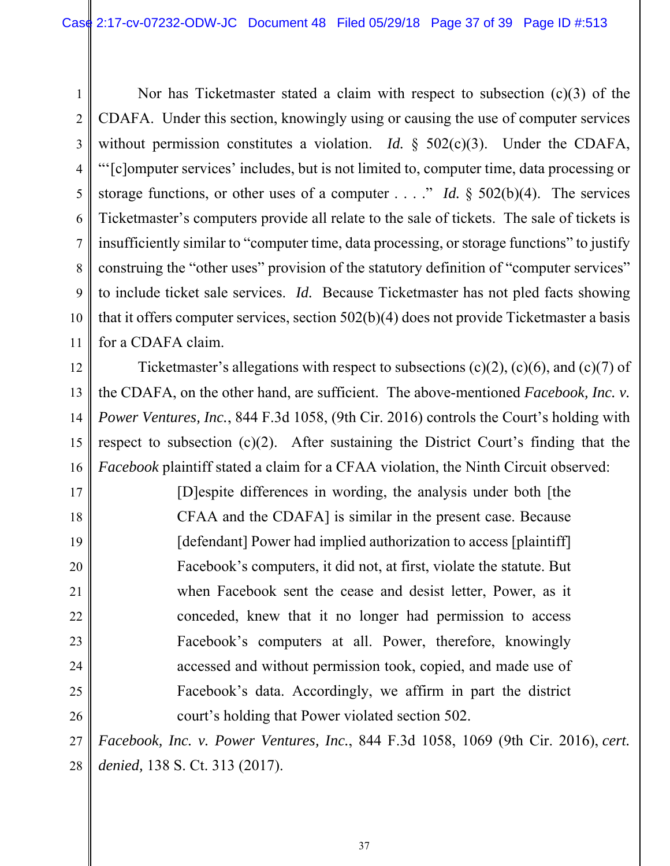1 2 3 4 5 6 7 8 9 10 11 Nor has Ticketmaster stated a claim with respect to subsection (c)(3) of the CDAFA. Under this section, knowingly using or causing the use of computer services without permission constitutes a violation. *Id.* § 502(c)(3). Under the CDAFA, "'[c]omputer services' includes, but is not limited to, computer time, data processing or storage functions, or other uses of a computer . . . ." *Id.* § 502(b)(4). The services Ticketmaster's computers provide all relate to the sale of tickets. The sale of tickets is insufficiently similar to "computer time, data processing, or storage functions" to justify construing the "other uses" provision of the statutory definition of "computer services" to include ticket sale services. *Id.* Because Ticketmaster has not pled facts showing that it offers computer services, section 502(b)(4) does not provide Ticketmaster a basis for a CDAFA claim.

12 13 14 15 16 Ticketmaster's allegations with respect to subsections  $(c)(2)$ ,  $(c)(6)$ , and  $(c)(7)$  of the CDAFA, on the other hand, are sufficient. The above-mentioned *Facebook, Inc. v. Power Ventures, Inc.*, 844 F.3d 1058, (9th Cir. 2016) controls the Court's holding with respect to subsection  $(c)(2)$ . After sustaining the District Court's finding that the *Facebook* plaintiff stated a claim for a CFAA violation, the Ninth Circuit observed:

17

18

19

20

21

22

23

24

25

26

[D]espite differences in wording, the analysis under both [the CFAA and the CDAFA] is similar in the present case. Because [defendant] Power had implied authorization to access [plaintiff] Facebook's computers, it did not, at first, violate the statute. But when Facebook sent the cease and desist letter, Power, as it conceded, knew that it no longer had permission to access Facebook's computers at all. Power, therefore, knowingly accessed and without permission took, copied, and made use of Facebook's data. Accordingly, we affirm in part the district court's holding that Power violated section 502.

27 28 *Facebook, Inc. v. Power Ventures, Inc.*, 844 F.3d 1058, 1069 (9th Cir. 2016), *cert. denied,* 138 S. Ct. 313 (2017).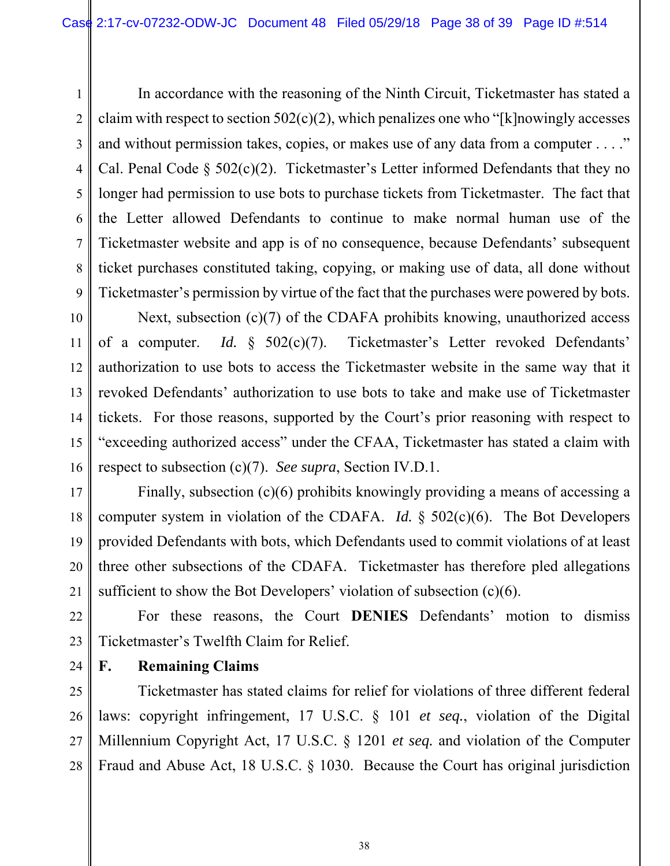1 2 3 4 5 6 7 8 9 In accordance with the reasoning of the Ninth Circuit, Ticketmaster has stated a claim with respect to section  $502(c)(2)$ , which penalizes one who "[k]nowingly accesses and without permission takes, copies, or makes use of any data from a computer . . . ." Cal. Penal Code  $\S$  502(c)(2). Ticketmaster's Letter informed Defendants that they no longer had permission to use bots to purchase tickets from Ticketmaster. The fact that the Letter allowed Defendants to continue to make normal human use of the Ticketmaster website and app is of no consequence, because Defendants' subsequent ticket purchases constituted taking, copying, or making use of data, all done without Ticketmaster's permission by virtue of the fact that the purchases were powered by bots.

10 11 12 13 14 15 16 Next, subsection (c)(7) of the CDAFA prohibits knowing, unauthorized access of a computer. *Id.* § 502(c)(7). Ticketmaster's Letter revoked Defendants' authorization to use bots to access the Ticketmaster website in the same way that it revoked Defendants' authorization to use bots to take and make use of Ticketmaster tickets. For those reasons, supported by the Court's prior reasoning with respect to "exceeding authorized access" under the CFAA, Ticketmaster has stated a claim with respect to subsection (c)(7). *See supra*, Section IV.D.1.

17 18 19 20 21 Finally, subsection (c)(6) prohibits knowingly providing a means of accessing a computer system in violation of the CDAFA. *Id.* § 502(c)(6). The Bot Developers provided Defendants with bots, which Defendants used to commit violations of at least three other subsections of the CDAFA. Ticketmaster has therefore pled allegations sufficient to show the Bot Developers' violation of subsection (c)(6).

22 23 For these reasons, the Court **DENIES** Defendants' motion to dismiss Ticketmaster's Twelfth Claim for Relief.

24 **F. Remaining Claims** 

25 26 27 28 Ticketmaster has stated claims for relief for violations of three different federal laws: copyright infringement, 17 U.S.C. § 101 *et seq.*, violation of the Digital Millennium Copyright Act, 17 U.S.C. § 1201 *et seq.* and violation of the Computer Fraud and Abuse Act, 18 U.S.C. § 1030. Because the Court has original jurisdiction